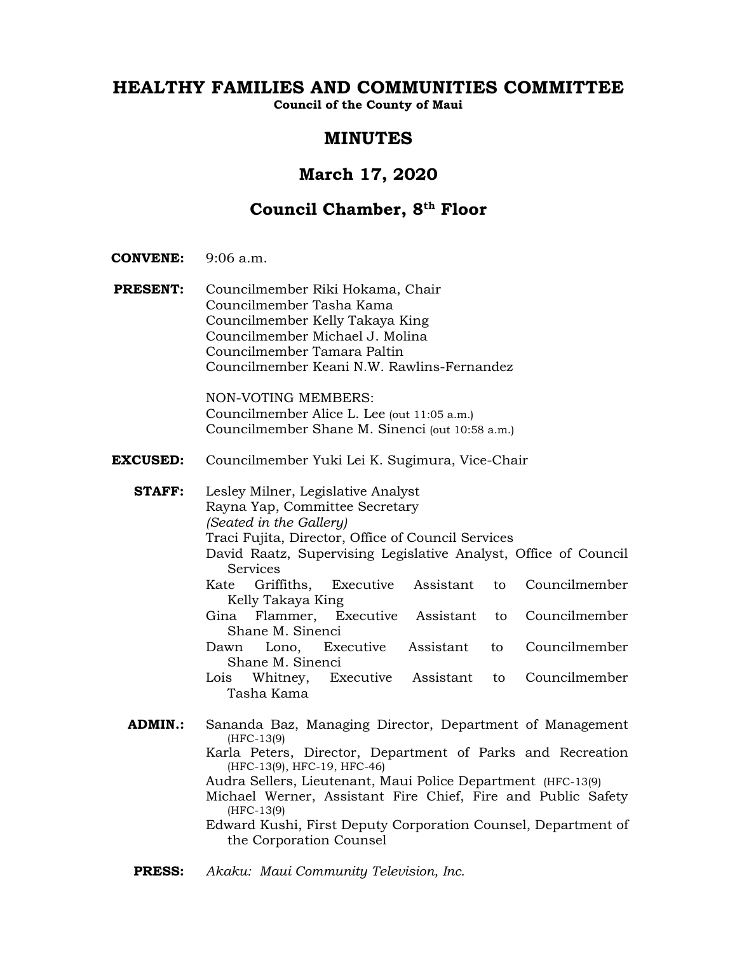# **HEALTHY FAMILIES AND COMMUNITIES COMMITTEE**

**Council of the County of Maui**

# **MINUTES**

# **March 17, 2020**

# **Council Chamber, 8th Floor**

- **CONVENE:** 9:06 a.m.
- **PRESENT:** Councilmember Riki Hokama, Chair Councilmember Tasha Kama Councilmember Kelly Takaya King Councilmember Michael J. Molina Councilmember Tamara Paltin Councilmember Keani N.W. Rawlins-Fernandez

NON-VOTING MEMBERS: Councilmember Alice L. Lee (out 11:05 a.m.) Councilmember Shane M. Sinenci (out 10:58 a.m.)

**EXCUSED:** Councilmember Yuki Lei K. Sugimura, Vice-Chair

**STAFF:** Lesley Milner, Legislative Analyst Rayna Yap, Committee Secretary *(Seated in the Gallery)* Traci Fujita, Director, Office of Council Services David Raatz, Supervising Legislative Analyst, Office of Council Services Kate Griffiths, Executive Assistant to Councilmember Kelly Takaya King Gina Flammer, Executive Assistant to Councilmember Shane M. Sinenci Dawn Lono, Executive Assistant to Councilmember Shane M. Sinenci Lois Whitney, Executive Assistant to Councilmember Tasha Kama **ADMIN.:** Sananda Baz, Managing Director, Department of Management (HFC-13(9) Karla Peters, Director, Department of Parks and Recreation (HFC-13(9), HFC-19, HFC-46) Audra Sellers, Lieutenant, Maui Police Department (HFC-13(9) Michael Werner, Assistant Fire Chief, Fire and Public Safety (HFC-13(9) Edward Kushi, First Deputy Corporation Counsel, Department of the Corporation Counsel

**PRESS:** *Akaku: Maui Community Television, Inc.*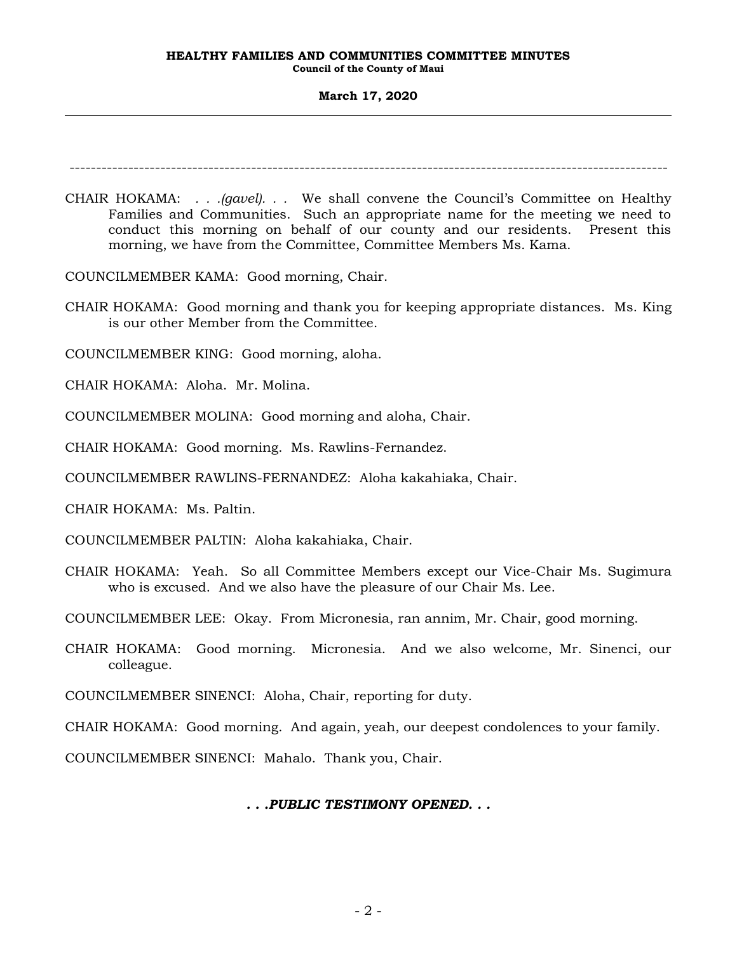# **March 17, 2020**

----------------------------------------------------------------------------------------------------------------

CHAIR HOKAMA: *. . .(gavel). . .* We shall convene the Council's Committee on Healthy Families and Communities. Such an appropriate name for the meeting we need to conduct this morning on behalf of our county and our residents. Present this morning, we have from the Committee, Committee Members Ms. Kama.

COUNCILMEMBER KAMA: Good morning, Chair.

CHAIR HOKAMA: Good morning and thank you for keeping appropriate distances. Ms. King is our other Member from the Committee.

COUNCILMEMBER KING: Good morning, aloha.

CHAIR HOKAMA: Aloha. Mr. Molina.

COUNCILMEMBER MOLINA: Good morning and aloha, Chair.

CHAIR HOKAMA: Good morning. Ms. Rawlins-Fernandez.

COUNCILMEMBER RAWLINS-FERNANDEZ: Aloha kakahiaka, Chair.

CHAIR HOKAMA: Ms. Paltin.

COUNCILMEMBER PALTIN: Aloha kakahiaka, Chair.

CHAIR HOKAMA: Yeah. So all Committee Members except our Vice-Chair Ms. Sugimura who is excused. And we also have the pleasure of our Chair Ms. Lee.

COUNCILMEMBER LEE: Okay. From Micronesia, ran annim, Mr. Chair, good morning.

CHAIR HOKAMA: Good morning. Micronesia. And we also welcome, Mr. Sinenci, our colleague.

COUNCILMEMBER SINENCI: Aloha, Chair, reporting for duty.

CHAIR HOKAMA: Good morning. And again, yeah, our deepest condolences to your family.

COUNCILMEMBER SINENCI: Mahalo. Thank you, Chair.

*. . .PUBLIC TESTIMONY OPENED. . .*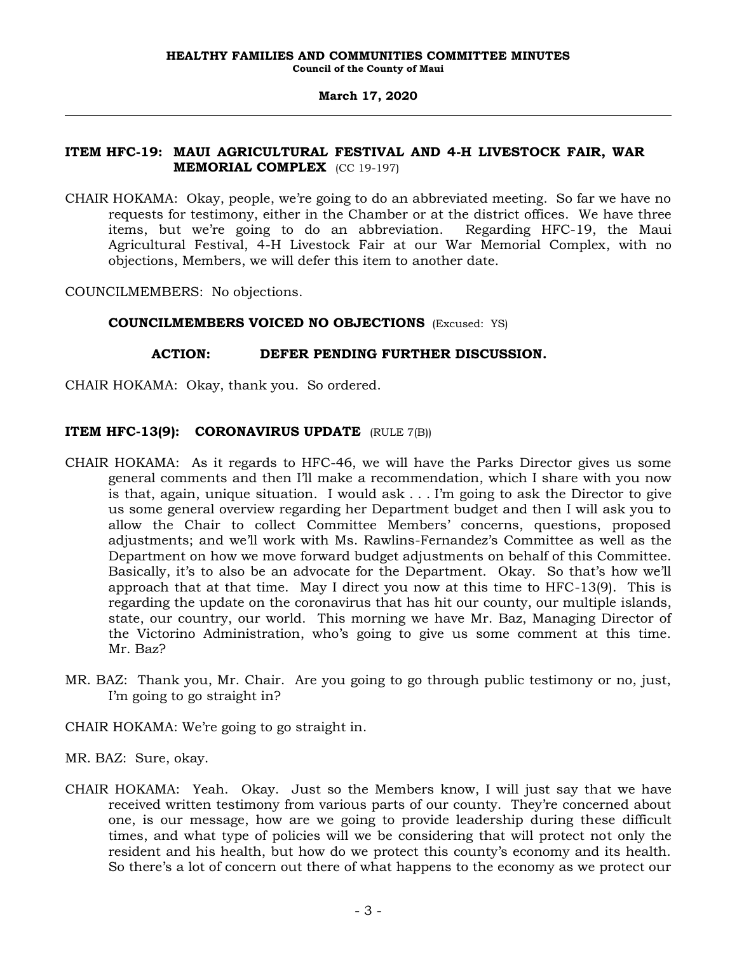# **ITEM HFC-19: MAUI AGRICULTURAL FESTIVAL AND 4-H LIVESTOCK FAIR, WAR MEMORIAL COMPLEX** (CC 19-197)

CHAIR HOKAMA: Okay, people, we're going to do an abbreviated meeting. So far we have no requests for testimony, either in the Chamber or at the district offices. We have three items, but we're going to do an abbreviation. Regarding HFC-19, the Maui Agricultural Festival, 4-H Livestock Fair at our War Memorial Complex, with no objections, Members, we will defer this item to another date.

COUNCILMEMBERS: No objections.

# **COUNCILMEMBERS VOICED NO OBJECTIONS** (Excused: YS)

# **ACTION: DEFER PENDING FURTHER DISCUSSION.**

CHAIR HOKAMA: Okay, thank you. So ordered.

# **ITEM HFC-13(9): CORONAVIRUS UPDATE** (RULE 7(B))

- CHAIR HOKAMA: As it regards to HFC-46, we will have the Parks Director gives us some general comments and then I'll make a recommendation, which I share with you now is that, again, unique situation. I would ask . . . I'm going to ask the Director to give us some general overview regarding her Department budget and then I will ask you to allow the Chair to collect Committee Members' concerns, questions, proposed adjustments; and we'll work with Ms. Rawlins-Fernandez's Committee as well as the Department on how we move forward budget adjustments on behalf of this Committee. Basically, it's to also be an advocate for the Department. Okay. So that's how we'll approach that at that time. May I direct you now at this time to HFC-13(9). This is regarding the update on the coronavirus that has hit our county, our multiple islands, state, our country, our world. This morning we have Mr. Baz, Managing Director of the Victorino Administration, who's going to give us some comment at this time. Mr. Baz?
- MR. BAZ: Thank you, Mr. Chair. Are you going to go through public testimony or no, just, I'm going to go straight in?
- CHAIR HOKAMA: We're going to go straight in.
- MR. BAZ: Sure, okay.
- CHAIR HOKAMA: Yeah. Okay. Just so the Members know, I will just say that we have received written testimony from various parts of our county. They're concerned about one, is our message, how are we going to provide leadership during these difficult times, and what type of policies will we be considering that will protect not only the resident and his health, but how do we protect this county's economy and its health. So there's a lot of concern out there of what happens to the economy as we protect our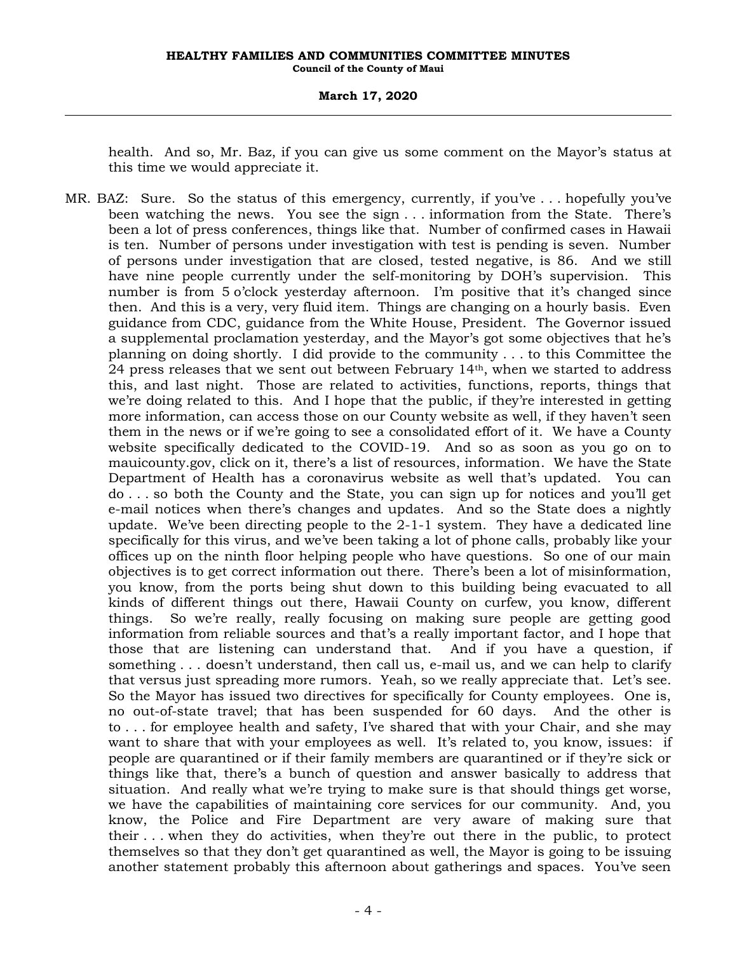# **March 17, 2020**

health. And so, Mr. Baz, if you can give us some comment on the Mayor's status at this time we would appreciate it.

MR. BAZ: Sure. So the status of this emergency, currently, if you've . . . hopefully you've been watching the news. You see the sign . . . information from the State. There's been a lot of press conferences, things like that. Number of confirmed cases in Hawaii is ten. Number of persons under investigation with test is pending is seven. Number of persons under investigation that are closed, tested negative, is 86. And we still have nine people currently under the self-monitoring by DOH's supervision. This number is from 5 o'clock yesterday afternoon. I'm positive that it's changed since then. And this is a very, very fluid item. Things are changing on a hourly basis. Even guidance from CDC, guidance from the White House, President. The Governor issued a supplemental proclamation yesterday, and the Mayor's got some objectives that he's planning on doing shortly. I did provide to the community . . . to this Committee the 24 press releases that we sent out between February 14th, when we started to address this, and last night. Those are related to activities, functions, reports, things that we're doing related to this. And I hope that the public, if they're interested in getting more information, can access those on our County website as well, if they haven't seen them in the news or if we're going to see a consolidated effort of it. We have a County website specifically dedicated to the COVID-19. And so as soon as you go on to mauicounty.gov, click on it, there's a list of resources, information. We have the State Department of Health has a coronavirus website as well that's updated. You can do . . . so both the County and the State, you can sign up for notices and you'll get e-mail notices when there's changes and updates. And so the State does a nightly update. We've been directing people to the 2-1-1 system. They have a dedicated line specifically for this virus, and we've been taking a lot of phone calls, probably like your offices up on the ninth floor helping people who have questions. So one of our main objectives is to get correct information out there. There's been a lot of misinformation, you know, from the ports being shut down to this building being evacuated to all kinds of different things out there, Hawaii County on curfew, you know, different things. So we're really, really focusing on making sure people are getting good information from reliable sources and that's a really important factor, and I hope that those that are listening can understand that. And if you have a question, if something . . . doesn't understand, then call us, e-mail us, and we can help to clarify that versus just spreading more rumors. Yeah, so we really appreciate that. Let's see. So the Mayor has issued two directives for specifically for County employees. One is, no out-of-state travel; that has been suspended for 60 days. And the other is to . . . for employee health and safety, I've shared that with your Chair, and she may want to share that with your employees as well. It's related to, you know, issues: if people are quarantined or if their family members are quarantined or if they're sick or things like that, there's a bunch of question and answer basically to address that situation. And really what we're trying to make sure is that should things get worse, we have the capabilities of maintaining core services for our community. And, you know, the Police and Fire Department are very aware of making sure that their . . . when they do activities, when they're out there in the public, to protect themselves so that they don't get quarantined as well, the Mayor is going to be issuing another statement probably this afternoon about gatherings and spaces. You've seen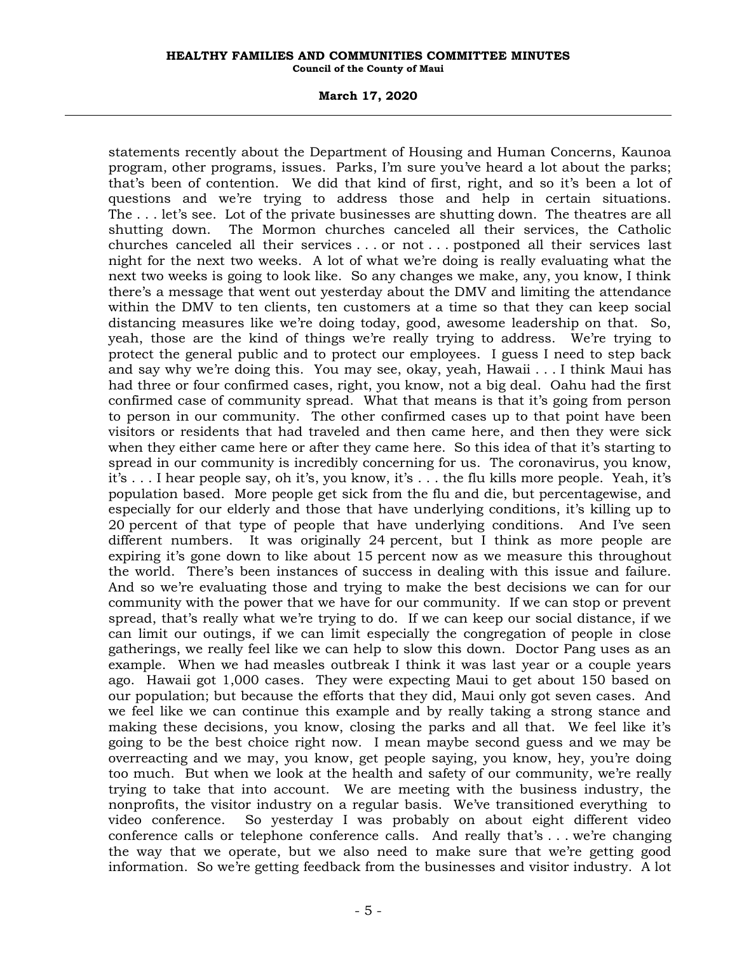**March 17, 2020**

statements recently about the Department of Housing and Human Concerns, Kaunoa program, other programs, issues. Parks, I'm sure you've heard a lot about the parks; that's been of contention. We did that kind of first, right, and so it's been a lot of questions and we're trying to address those and help in certain situations. The . . . let's see. Lot of the private businesses are shutting down. The theatres are all shutting down. The Mormon churches canceled all their services, the Catholic churches canceled all their services . . . or not . . . postponed all their services last night for the next two weeks. A lot of what we're doing is really evaluating what the next two weeks is going to look like. So any changes we make, any, you know, I think there's a message that went out yesterday about the DMV and limiting the attendance within the DMV to ten clients, ten customers at a time so that they can keep social distancing measures like we're doing today, good, awesome leadership on that. So, yeah, those are the kind of things we're really trying to address. We're trying to protect the general public and to protect our employees. I guess I need to step back and say why we're doing this. You may see, okay, yeah, Hawaii . . . I think Maui has had three or four confirmed cases, right, you know, not a big deal. Oahu had the first confirmed case of community spread. What that means is that it's going from person to person in our community. The other confirmed cases up to that point have been visitors or residents that had traveled and then came here, and then they were sick when they either came here or after they came here. So this idea of that it's starting to spread in our community is incredibly concerning for us. The coronavirus, you know, it's . . . I hear people say, oh it's, you know, it's . . . the flu kills more people. Yeah, it's population based. More people get sick from the flu and die, but percentagewise, and especially for our elderly and those that have underlying conditions, it's killing up to 20 percent of that type of people that have underlying conditions. And I've seen different numbers. It was originally 24 percent, but I think as more people are expiring it's gone down to like about 15 percent now as we measure this throughout the world. There's been instances of success in dealing with this issue and failure. And so we're evaluating those and trying to make the best decisions we can for our community with the power that we have for our community. If we can stop or prevent spread, that's really what we're trying to do. If we can keep our social distance, if we can limit our outings, if we can limit especially the congregation of people in close gatherings, we really feel like we can help to slow this down. Doctor Pang uses as an example. When we had measles outbreak I think it was last year or a couple years ago. Hawaii got 1,000 cases. They were expecting Maui to get about 150 based on our population; but because the efforts that they did, Maui only got seven cases. And we feel like we can continue this example and by really taking a strong stance and making these decisions, you know, closing the parks and all that. We feel like it's going to be the best choice right now. I mean maybe second guess and we may be overreacting and we may, you know, get people saying, you know, hey, you're doing too much. But when we look at the health and safety of our community, we're really trying to take that into account. We are meeting with the business industry, the nonprofits, the visitor industry on a regular basis. We've transitioned everything to video conference. So yesterday I was probably on about eight different video conference calls or telephone conference calls. And really that's . . . we're changing the way that we operate, but we also need to make sure that we're getting good information. So we're getting feedback from the businesses and visitor industry. A lot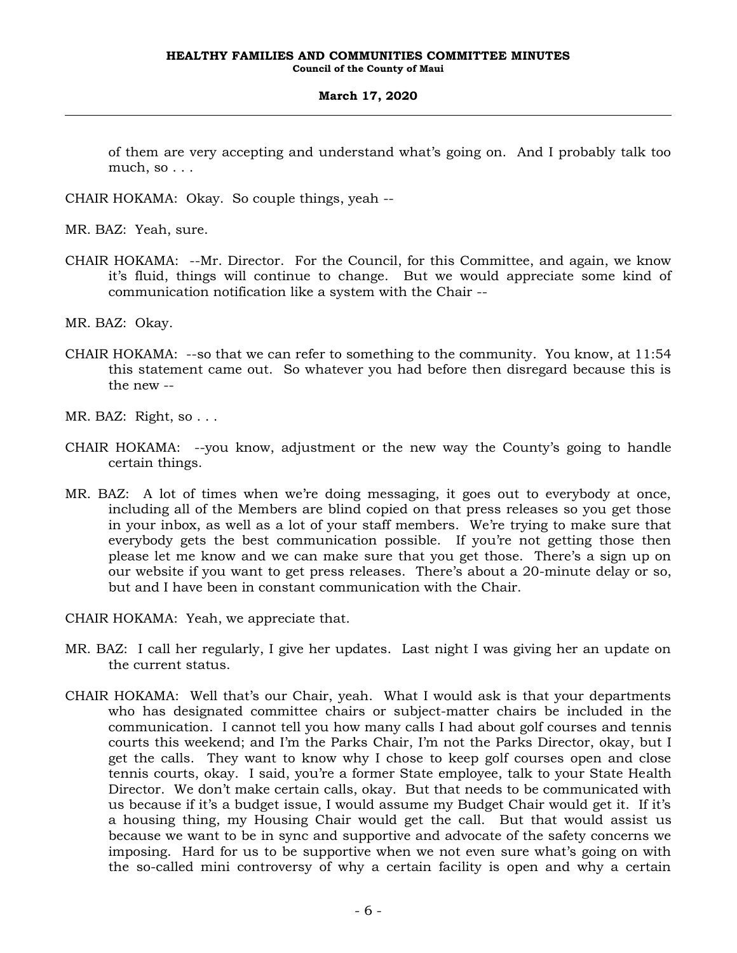of them are very accepting and understand what's going on. And I probably talk too much, so . . .

CHAIR HOKAMA: Okay. So couple things, yeah --

MR. BAZ: Yeah, sure.

CHAIR HOKAMA: --Mr. Director. For the Council, for this Committee, and again, we know it's fluid, things will continue to change. But we would appreciate some kind of communication notification like a system with the Chair --

MR. BAZ: Okay.

CHAIR HOKAMA: --so that we can refer to something to the community. You know, at 11:54 this statement came out. So whatever you had before then disregard because this is the new --

MR. BAZ: Right, so . . .

- CHAIR HOKAMA: --you know, adjustment or the new way the County's going to handle certain things.
- MR. BAZ: A lot of times when we're doing messaging, it goes out to everybody at once, including all of the Members are blind copied on that press releases so you get those in your inbox, as well as a lot of your staff members. We're trying to make sure that everybody gets the best communication possible. If you're not getting those then please let me know and we can make sure that you get those. There's a sign up on our website if you want to get press releases. There's about a 20-minute delay or so, but and I have been in constant communication with the Chair.

CHAIR HOKAMA: Yeah, we appreciate that.

- MR. BAZ: I call her regularly, I give her updates. Last night I was giving her an update on the current status.
- CHAIR HOKAMA: Well that's our Chair, yeah. What I would ask is that your departments who has designated committee chairs or subject-matter chairs be included in the communication. I cannot tell you how many calls I had about golf courses and tennis courts this weekend; and I'm the Parks Chair, I'm not the Parks Director, okay, but I get the calls. They want to know why I chose to keep golf courses open and close tennis courts, okay. I said, you're a former State employee, talk to your State Health Director. We don't make certain calls, okay. But that needs to be communicated with us because if it's a budget issue, I would assume my Budget Chair would get it. If it's a housing thing, my Housing Chair would get the call. But that would assist us because we want to be in sync and supportive and advocate of the safety concerns we imposing. Hard for us to be supportive when we not even sure what's going on with the so-called mini controversy of why a certain facility is open and why a certain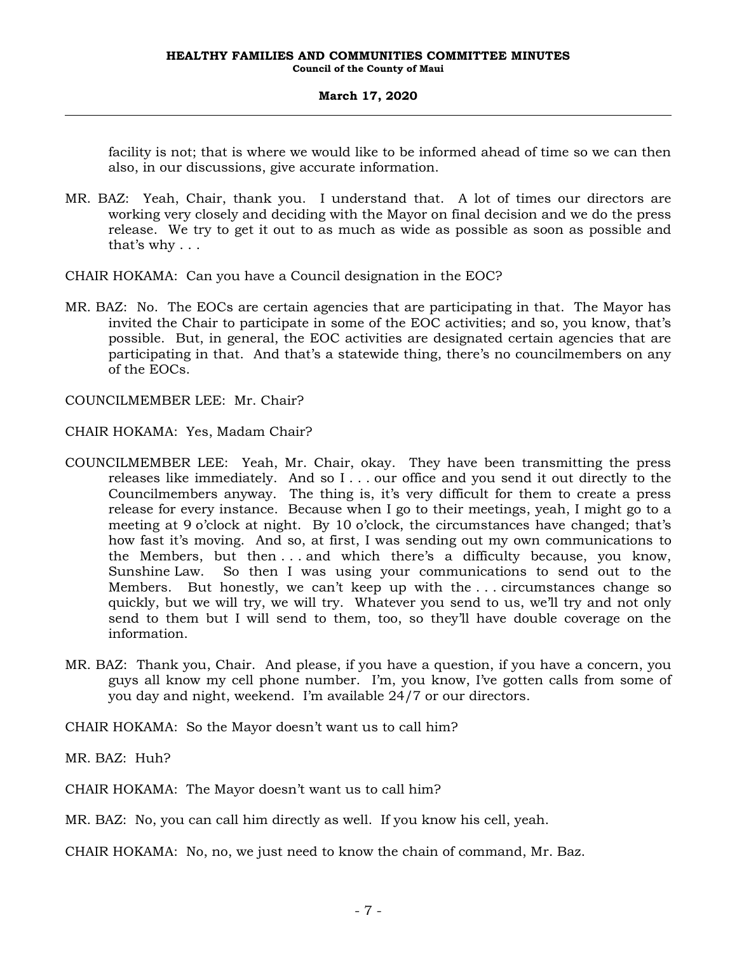facility is not; that is where we would like to be informed ahead of time so we can then also, in our discussions, give accurate information.

MR. BAZ: Yeah, Chair, thank you. I understand that. A lot of times our directors are working very closely and deciding with the Mayor on final decision and we do the press release. We try to get it out to as much as wide as possible as soon as possible and that's why . . .

CHAIR HOKAMA: Can you have a Council designation in the EOC?

MR. BAZ: No. The EOCs are certain agencies that are participating in that. The Mayor has invited the Chair to participate in some of the EOC activities; and so, you know, that's possible. But, in general, the EOC activities are designated certain agencies that are participating in that. And that's a statewide thing, there's no councilmembers on any of the EOCs.

COUNCILMEMBER LEE: Mr. Chair?

CHAIR HOKAMA: Yes, Madam Chair?

- COUNCILMEMBER LEE: Yeah, Mr. Chair, okay. They have been transmitting the press releases like immediately. And so I . . . our office and you send it out directly to the Councilmembers anyway. The thing is, it's very difficult for them to create a press release for every instance. Because when I go to their meetings, yeah, I might go to a meeting at 9 o'clock at night. By 10 o'clock, the circumstances have changed; that's how fast it's moving. And so, at first, I was sending out my own communications to the Members, but then . . . and which there's a difficulty because, you know, Sunshine Law. So then I was using your communications to send out to the Members. But honestly, we can't keep up with the . . . circumstances change so quickly, but we will try, we will try. Whatever you send to us, we'll try and not only send to them but I will send to them, too, so they'll have double coverage on the information.
- MR. BAZ: Thank you, Chair. And please, if you have a question, if you have a concern, you guys all know my cell phone number. I'm, you know, I've gotten calls from some of you day and night, weekend. I'm available 24/7 or our directors.

CHAIR HOKAMA: So the Mayor doesn't want us to call him?

MR. BAZ: Huh?

CHAIR HOKAMA: The Mayor doesn't want us to call him?

MR. BAZ: No, you can call him directly as well. If you know his cell, yeah.

CHAIR HOKAMA: No, no, we just need to know the chain of command, Mr. Baz.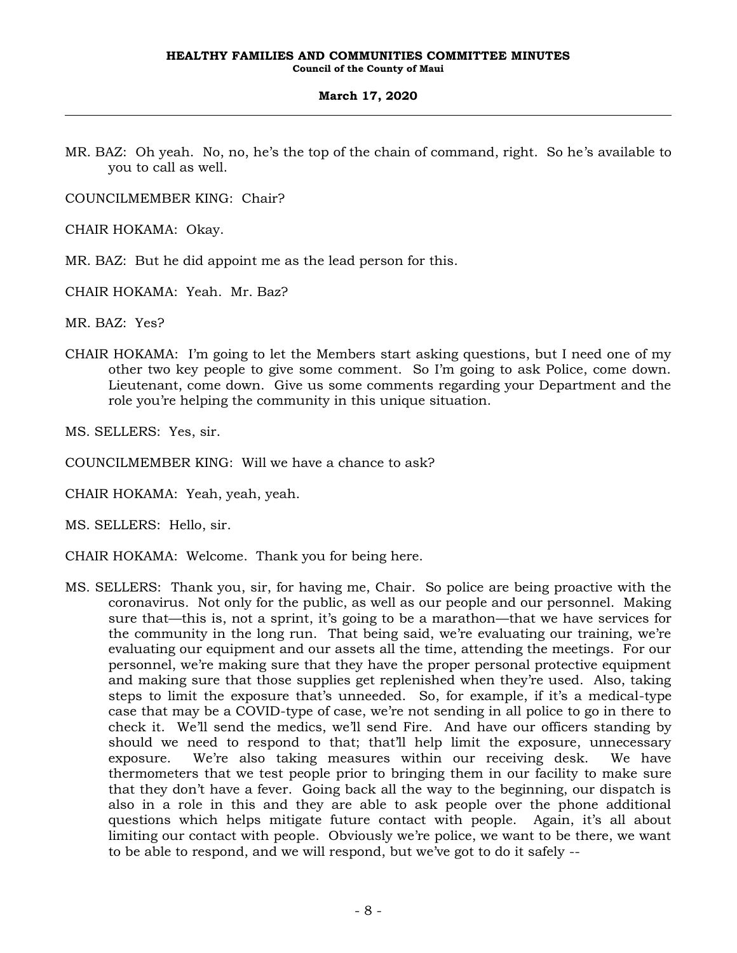MR. BAZ: Oh yeah. No, no, he's the top of the chain of command, right. So he's available to you to call as well.

COUNCILMEMBER KING: Chair?

CHAIR HOKAMA: Okay.

MR. BAZ: But he did appoint me as the lead person for this.

CHAIR HOKAMA: Yeah. Mr. Baz?

MR. BAZ: Yes?

CHAIR HOKAMA: I'm going to let the Members start asking questions, but I need one of my other two key people to give some comment. So I'm going to ask Police, come down. Lieutenant, come down. Give us some comments regarding your Department and the role you're helping the community in this unique situation.

MS. SELLERS: Yes, sir.

COUNCILMEMBER KING: Will we have a chance to ask?

CHAIR HOKAMA: Yeah, yeah, yeah.

MS. SELLERS: Hello, sir.

CHAIR HOKAMA: Welcome. Thank you for being here.

MS. SELLERS: Thank you, sir, for having me, Chair. So police are being proactive with the coronavirus. Not only for the public, as well as our people and our personnel. Making sure that—this is, not a sprint, it's going to be a marathon—that we have services for the community in the long run. That being said, we're evaluating our training, we're evaluating our equipment and our assets all the time, attending the meetings. For our personnel, we're making sure that they have the proper personal protective equipment and making sure that those supplies get replenished when they're used. Also, taking steps to limit the exposure that's unneeded. So, for example, if it's a medical-type case that may be a COVID-type of case, we're not sending in all police to go in there to check it. We'll send the medics, we'll send Fire. And have our officers standing by should we need to respond to that; that'll help limit the exposure, unnecessary exposure. We're also taking measures within our receiving desk. We have thermometers that we test people prior to bringing them in our facility to make sure that they don't have a fever. Going back all the way to the beginning, our dispatch is also in a role in this and they are able to ask people over the phone additional questions which helps mitigate future contact with people. Again, it's all about limiting our contact with people. Obviously we're police, we want to be there, we want to be able to respond, and we will respond, but we've got to do it safely --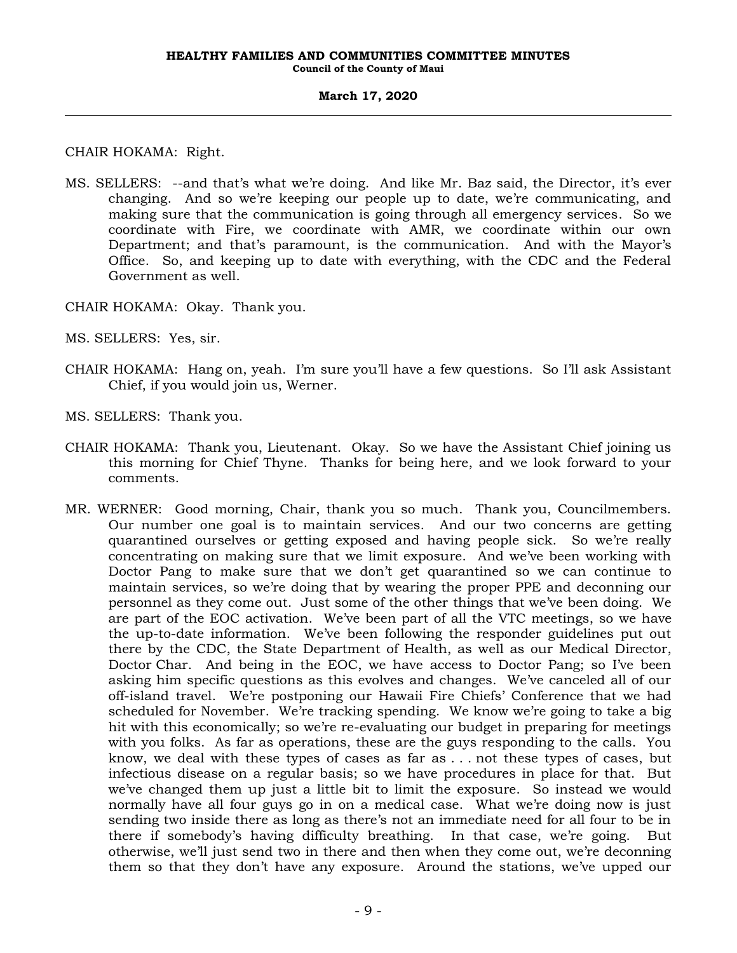CHAIR HOKAMA: Right.

MS. SELLERS: --and that's what we're doing. And like Mr. Baz said, the Director, it's ever changing. And so we're keeping our people up to date, we're communicating, and making sure that the communication is going through all emergency services. So we coordinate with Fire, we coordinate with AMR, we coordinate within our own Department; and that's paramount, is the communication. And with the Mayor's Office. So, and keeping up to date with everything, with the CDC and the Federal Government as well.

CHAIR HOKAMA: Okay. Thank you.

MS. SELLERS: Yes, sir.

- CHAIR HOKAMA: Hang on, yeah. I'm sure you'll have a few questions. So I'll ask Assistant Chief, if you would join us, Werner.
- MS. SELLERS: Thank you.
- CHAIR HOKAMA: Thank you, Lieutenant. Okay. So we have the Assistant Chief joining us this morning for Chief Thyne. Thanks for being here, and we look forward to your comments.
- MR. WERNER: Good morning, Chair, thank you so much. Thank you, Councilmembers. Our number one goal is to maintain services. And our two concerns are getting quarantined ourselves or getting exposed and having people sick. So we're really concentrating on making sure that we limit exposure. And we've been working with Doctor Pang to make sure that we don't get quarantined so we can continue to maintain services, so we're doing that by wearing the proper PPE and deconning our personnel as they come out. Just some of the other things that we've been doing. We are part of the EOC activation. We've been part of all the VTC meetings, so we have the up-to-date information. We've been following the responder guidelines put out there by the CDC, the State Department of Health, as well as our Medical Director, Doctor Char. And being in the EOC, we have access to Doctor Pang; so I've been asking him specific questions as this evolves and changes. We've canceled all of our off-island travel. We're postponing our Hawaii Fire Chiefs' Conference that we had scheduled for November. We're tracking spending. We know we're going to take a big hit with this economically; so we're re-evaluating our budget in preparing for meetings with you folks. As far as operations, these are the guys responding to the calls. You know, we deal with these types of cases as far as . . . not these types of cases, but infectious disease on a regular basis; so we have procedures in place for that. But we've changed them up just a little bit to limit the exposure. So instead we would normally have all four guys go in on a medical case. What we're doing now is just sending two inside there as long as there's not an immediate need for all four to be in there if somebody's having difficulty breathing. In that case, we're going. But otherwise, we'll just send two in there and then when they come out, we're deconning them so that they don't have any exposure. Around the stations, we've upped our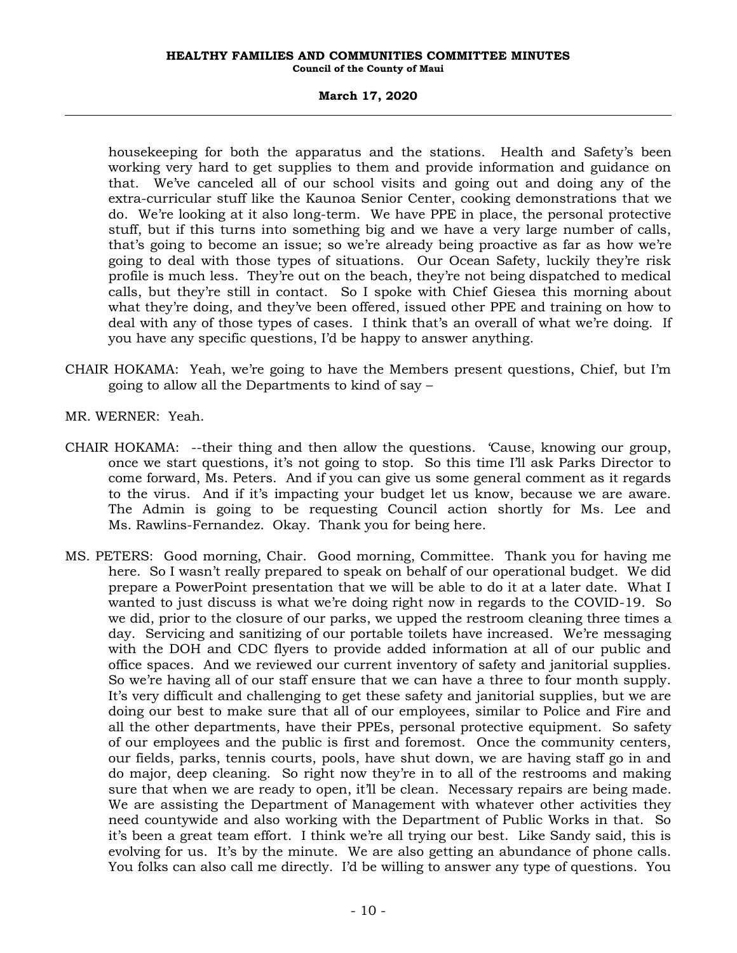# **March 17, 2020**

housekeeping for both the apparatus and the stations. Health and Safety's been working very hard to get supplies to them and provide information and guidance on that. We've canceled all of our school visits and going out and doing any of the extra-curricular stuff like the Kaunoa Senior Center, cooking demonstrations that we do. We're looking at it also long-term. We have PPE in place, the personal protective stuff, but if this turns into something big and we have a very large number of calls, that's going to become an issue; so we're already being proactive as far as how we're going to deal with those types of situations. Our Ocean Safety, luckily they're risk profile is much less. They're out on the beach, they're not being dispatched to medical calls, but they're still in contact. So I spoke with Chief Giesea this morning about what they're doing, and they've been offered, issued other PPE and training on how to deal with any of those types of cases. I think that's an overall of what we're doing. If you have any specific questions, I'd be happy to answer anything.

- CHAIR HOKAMA: Yeah, we're going to have the Members present questions, Chief, but I'm going to allow all the Departments to kind of say –
- MR. WERNER: Yeah.
- CHAIR HOKAMA: --their thing and then allow the questions. 'Cause, knowing our group, once we start questions, it's not going to stop. So this time I'll ask Parks Director to come forward, Ms. Peters. And if you can give us some general comment as it regards to the virus. And if it's impacting your budget let us know, because we are aware. The Admin is going to be requesting Council action shortly for Ms. Lee and Ms. Rawlins-Fernandez. Okay. Thank you for being here.
- MS. PETERS: Good morning, Chair. Good morning, Committee. Thank you for having me here. So I wasn't really prepared to speak on behalf of our operational budget. We did prepare a PowerPoint presentation that we will be able to do it at a later date. What I wanted to just discuss is what we're doing right now in regards to the COVID-19. So we did, prior to the closure of our parks, we upped the restroom cleaning three times a day. Servicing and sanitizing of our portable toilets have increased. We're messaging with the DOH and CDC flyers to provide added information at all of our public and office spaces. And we reviewed our current inventory of safety and janitorial supplies. So we're having all of our staff ensure that we can have a three to four month supply. It's very difficult and challenging to get these safety and janitorial supplies, but we are doing our best to make sure that all of our employees, similar to Police and Fire and all the other departments, have their PPEs, personal protective equipment. So safety of our employees and the public is first and foremost. Once the community centers, our fields, parks, tennis courts, pools, have shut down, we are having staff go in and do major, deep cleaning. So right now they're in to all of the restrooms and making sure that when we are ready to open, it'll be clean. Necessary repairs are being made. We are assisting the Department of Management with whatever other activities they need countywide and also working with the Department of Public Works in that. So it's been a great team effort. I think we're all trying our best. Like Sandy said, this is evolving for us. It's by the minute. We are also getting an abundance of phone calls. You folks can also call me directly. I'd be willing to answer any type of questions. You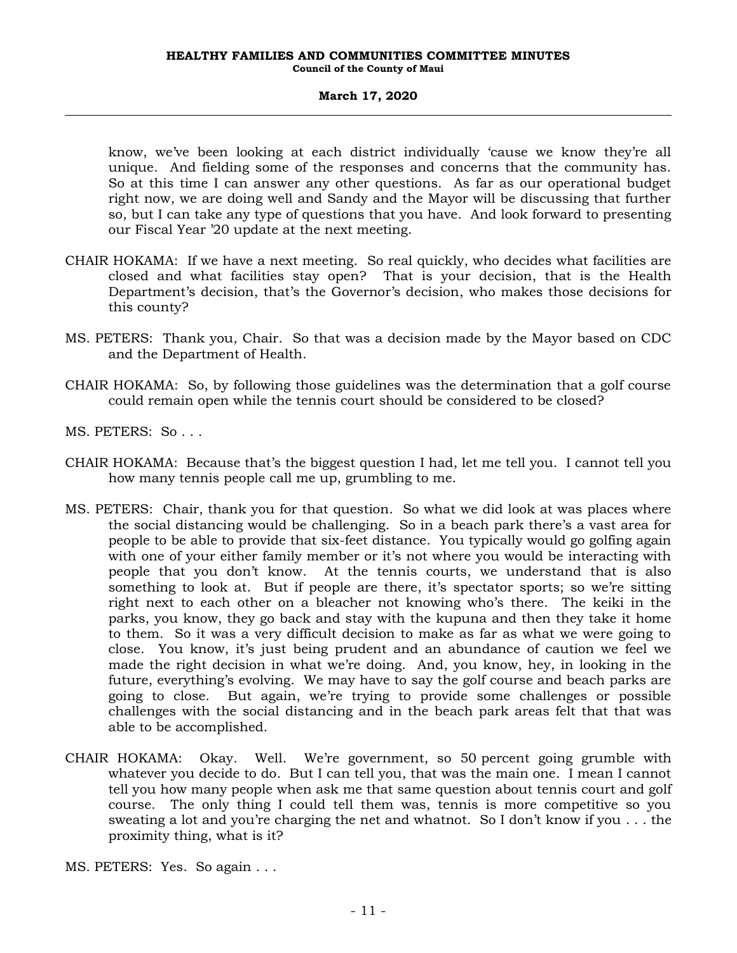know, we've been looking at each district individually 'cause we know they're all unique. And fielding some of the responses and concerns that the community has. So at this time I can answer any other questions. As far as our operational budget right now, we are doing well and Sandy and the Mayor will be discussing that further so, but I can take any type of questions that you have. And look forward to presenting our Fiscal Year '20 update at the next meeting.

- CHAIR HOKAMA: If we have a next meeting. So real quickly, who decides what facilities are closed and what facilities stay open? That is your decision, that is the Health Department's decision, that's the Governor's decision, who makes those decisions for this county?
- MS. PETERS: Thank you, Chair. So that was a decision made by the Mayor based on CDC and the Department of Health.
- CHAIR HOKAMA: So, by following those guidelines was the determination that a golf course could remain open while the tennis court should be considered to be closed?
- MS. PETERS: So . . .
- CHAIR HOKAMA: Because that's the biggest question I had, let me tell you. I cannot tell you how many tennis people call me up, grumbling to me.
- MS. PETERS: Chair, thank you for that question. So what we did look at was places where the social distancing would be challenging. So in a beach park there's a vast area for people to be able to provide that six-feet distance. You typically would go golfing again with one of your either family member or it's not where you would be interacting with people that you don't know. At the tennis courts, we understand that is also something to look at. But if people are there, it's spectator sports; so we're sitting right next to each other on a bleacher not knowing who's there. The keiki in the parks, you know, they go back and stay with the kupuna and then they take it home to them. So it was a very difficult decision to make as far as what we were going to close. You know, it's just being prudent and an abundance of caution we feel we made the right decision in what we're doing. And, you know, hey, in looking in the future, everything's evolving. We may have to say the golf course and beach parks are going to close. But again, we're trying to provide some challenges or possible challenges with the social distancing and in the beach park areas felt that that was able to be accomplished.
- CHAIR HOKAMA: Okay. Well. We're government, so 50 percent going grumble with whatever you decide to do. But I can tell you, that was the main one. I mean I cannot tell you how many people when ask me that same question about tennis court and golf course. The only thing I could tell them was, tennis is more competitive so you sweating a lot and you're charging the net and whatnot. So I don't know if you . . . the proximity thing, what is it?
- MS. PETERS: Yes. So again . . .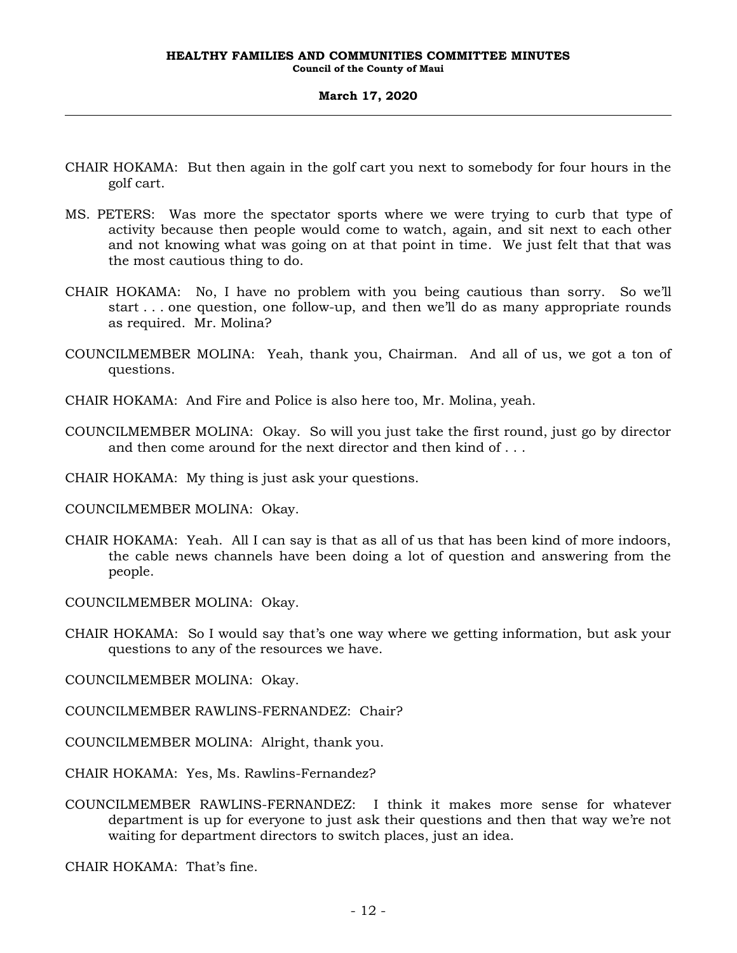- CHAIR HOKAMA: But then again in the golf cart you next to somebody for four hours in the golf cart.
- MS. PETERS: Was more the spectator sports where we were trying to curb that type of activity because then people would come to watch, again, and sit next to each other and not knowing what was going on at that point in time. We just felt that that was the most cautious thing to do.
- CHAIR HOKAMA: No, I have no problem with you being cautious than sorry. So we'll start . . . one question, one follow-up, and then we'll do as many appropriate rounds as required. Mr. Molina?
- COUNCILMEMBER MOLINA: Yeah, thank you, Chairman. And all of us, we got a ton of questions.
- CHAIR HOKAMA: And Fire and Police is also here too, Mr. Molina, yeah.
- COUNCILMEMBER MOLINA: Okay. So will you just take the first round, just go by director and then come around for the next director and then kind of . . .
- CHAIR HOKAMA: My thing is just ask your questions.
- COUNCILMEMBER MOLINA: Okay.
- CHAIR HOKAMA: Yeah. All I can say is that as all of us that has been kind of more indoors, the cable news channels have been doing a lot of question and answering from the people.
- COUNCILMEMBER MOLINA: Okay.
- CHAIR HOKAMA: So I would say that's one way where we getting information, but ask your questions to any of the resources we have.
- COUNCILMEMBER MOLINA: Okay.
- COUNCILMEMBER RAWLINS-FERNANDEZ: Chair?
- COUNCILMEMBER MOLINA: Alright, thank you.
- CHAIR HOKAMA: Yes, Ms. Rawlins-Fernandez?
- COUNCILMEMBER RAWLINS-FERNANDEZ: I think it makes more sense for whatever department is up for everyone to just ask their questions and then that way we're not waiting for department directors to switch places, just an idea.

CHAIR HOKAMA: That's fine.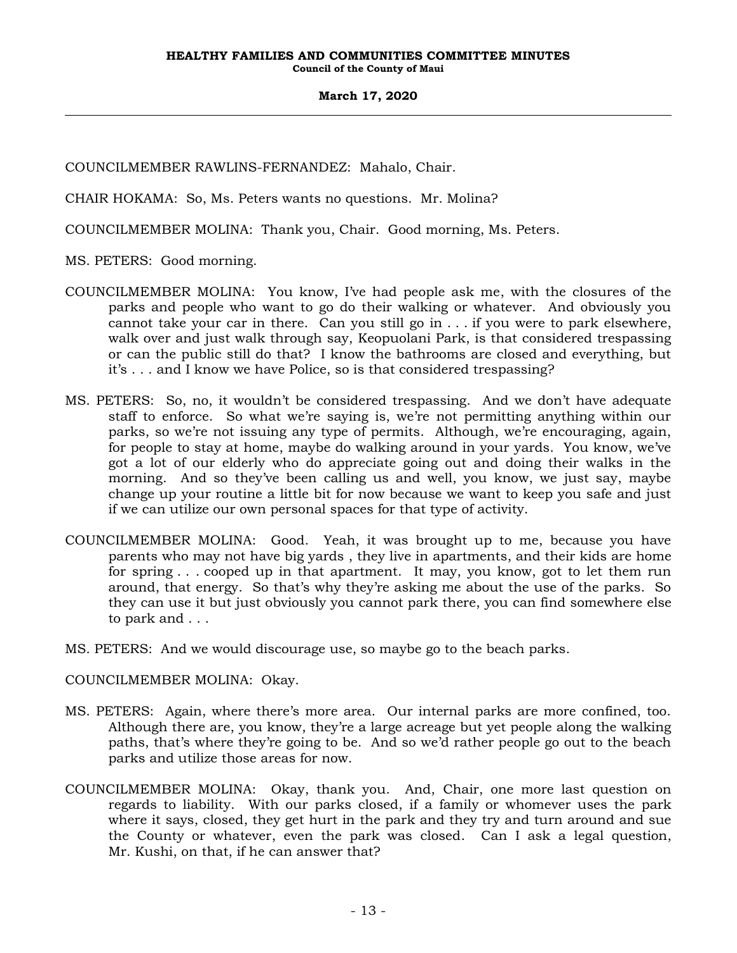COUNCILMEMBER RAWLINS-FERNANDEZ: Mahalo, Chair.

CHAIR HOKAMA: So, Ms. Peters wants no questions. Mr. Molina?

COUNCILMEMBER MOLINA: Thank you, Chair. Good morning, Ms. Peters.

MS. PETERS: Good morning.

- COUNCILMEMBER MOLINA: You know, I've had people ask me, with the closures of the parks and people who want to go do their walking or whatever. And obviously you cannot take your car in there. Can you still go in . . . if you were to park elsewhere, walk over and just walk through say, Keopuolani Park, is that considered trespassing or can the public still do that? I know the bathrooms are closed and everything, but it's . . . and I know we have Police, so is that considered trespassing?
- MS. PETERS: So, no, it wouldn't be considered trespassing. And we don't have adequate staff to enforce. So what we're saying is, we're not permitting anything within our parks, so we're not issuing any type of permits. Although, we're encouraging, again, for people to stay at home, maybe do walking around in your yards. You know, we've got a lot of our elderly who do appreciate going out and doing their walks in the morning. And so they've been calling us and well, you know, we just say, maybe change up your routine a little bit for now because we want to keep you safe and just if we can utilize our own personal spaces for that type of activity.
- COUNCILMEMBER MOLINA: Good. Yeah, it was brought up to me, because you have parents who may not have big yards , they live in apartments, and their kids are home for spring . . . cooped up in that apartment. It may, you know, got to let them run around, that energy. So that's why they're asking me about the use of the parks. So they can use it but just obviously you cannot park there, you can find somewhere else to park and . . .
- MS. PETERS: And we would discourage use, so maybe go to the beach parks.

COUNCILMEMBER MOLINA: Okay.

- MS. PETERS: Again, where there's more area. Our internal parks are more confined, too. Although there are, you know, they're a large acreage but yet people along the walking paths, that's where they're going to be. And so we'd rather people go out to the beach parks and utilize those areas for now.
- COUNCILMEMBER MOLINA: Okay, thank you. And, Chair, one more last question on regards to liability. With our parks closed, if a family or whomever uses the park where it says, closed, they get hurt in the park and they try and turn around and sue the County or whatever, even the park was closed. Can I ask a legal question, Mr. Kushi, on that, if he can answer that?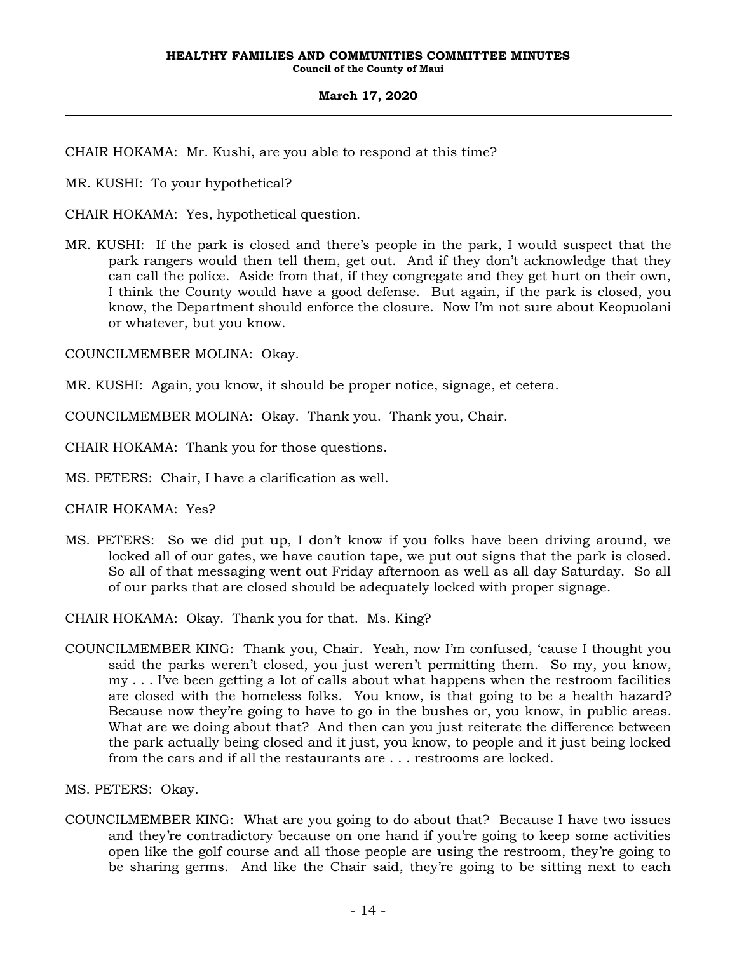CHAIR HOKAMA: Mr. Kushi, are you able to respond at this time?

MR. KUSHI: To your hypothetical?

CHAIR HOKAMA: Yes, hypothetical question.

MR. KUSHI: If the park is closed and there's people in the park, I would suspect that the park rangers would then tell them, get out. And if they don't acknowledge that they can call the police. Aside from that, if they congregate and they get hurt on their own, I think the County would have a good defense. But again, if the park is closed, you know, the Department should enforce the closure. Now I'm not sure about Keopuolani or whatever, but you know.

COUNCILMEMBER MOLINA: Okay.

MR. KUSHI: Again, you know, it should be proper notice, signage, et cetera.

COUNCILMEMBER MOLINA: Okay. Thank you. Thank you, Chair.

CHAIR HOKAMA: Thank you for those questions.

MS. PETERS: Chair, I have a clarification as well.

CHAIR HOKAMA: Yes?

MS. PETERS: So we did put up, I don't know if you folks have been driving around, we locked all of our gates, we have caution tape, we put out signs that the park is closed. So all of that messaging went out Friday afternoon as well as all day Saturday. So all of our parks that are closed should be adequately locked with proper signage.

CHAIR HOKAMA: Okay. Thank you for that. Ms. King?

COUNCILMEMBER KING: Thank you, Chair. Yeah, now I'm confused, 'cause I thought you said the parks weren't closed, you just weren't permitting them. So my, you know, my . . . I've been getting a lot of calls about what happens when the restroom facilities are closed with the homeless folks. You know, is that going to be a health hazard? Because now they're going to have to go in the bushes or, you know, in public areas. What are we doing about that? And then can you just reiterate the difference between the park actually being closed and it just, you know, to people and it just being locked from the cars and if all the restaurants are . . . restrooms are locked.

MS. PETERS: Okay.

COUNCILMEMBER KING: What are you going to do about that? Because I have two issues and they're contradictory because on one hand if you're going to keep some activities open like the golf course and all those people are using the restroom, they're going to be sharing germs. And like the Chair said, they're going to be sitting next to each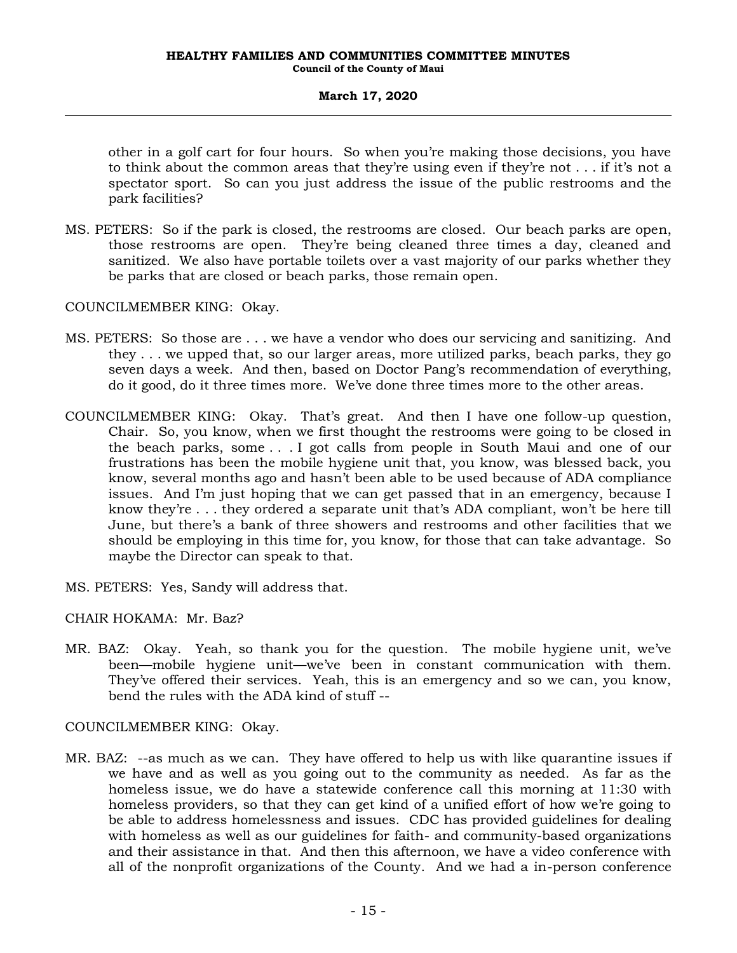other in a golf cart for four hours. So when you're making those decisions, you have to think about the common areas that they're using even if they're not . . . if it's not a spectator sport. So can you just address the issue of the public restrooms and the park facilities?

MS. PETERS: So if the park is closed, the restrooms are closed. Our beach parks are open, those restrooms are open. They're being cleaned three times a day, cleaned and sanitized. We also have portable toilets over a vast majority of our parks whether they be parks that are closed or beach parks, those remain open.

COUNCILMEMBER KING: Okay.

- MS. PETERS: So those are . . . we have a vendor who does our servicing and sanitizing. And they . . . we upped that, so our larger areas, more utilized parks, beach parks, they go seven days a week. And then, based on Doctor Pang's recommendation of everything, do it good, do it three times more. We've done three times more to the other areas.
- COUNCILMEMBER KING: Okay. That's great. And then I have one follow-up question, Chair. So, you know, when we first thought the restrooms were going to be closed in the beach parks, some . . . I got calls from people in South Maui and one of our frustrations has been the mobile hygiene unit that, you know, was blessed back, you know, several months ago and hasn't been able to be used because of ADA compliance issues. And I'm just hoping that we can get passed that in an emergency, because I know they're . . . they ordered a separate unit that's ADA compliant, won't be here till June, but there's a bank of three showers and restrooms and other facilities that we should be employing in this time for, you know, for those that can take advantage. So maybe the Director can speak to that.
- MS. PETERS: Yes, Sandy will address that.
- CHAIR HOKAMA: Mr. Baz?
- MR. BAZ: Okay. Yeah, so thank you for the question. The mobile hygiene unit, we've been—mobile hygiene unit—we've been in constant communication with them. They've offered their services. Yeah, this is an emergency and so we can, you know, bend the rules with the ADA kind of stuff --

COUNCILMEMBER KING: Okay.

MR. BAZ: --as much as we can. They have offered to help us with like quarantine issues if we have and as well as you going out to the community as needed. As far as the homeless issue, we do have a statewide conference call this morning at 11:30 with homeless providers, so that they can get kind of a unified effort of how we're going to be able to address homelessness and issues. CDC has provided guidelines for dealing with homeless as well as our guidelines for faith- and community-based organizations and their assistance in that. And then this afternoon, we have a video conference with all of the nonprofit organizations of the County. And we had a in-person conference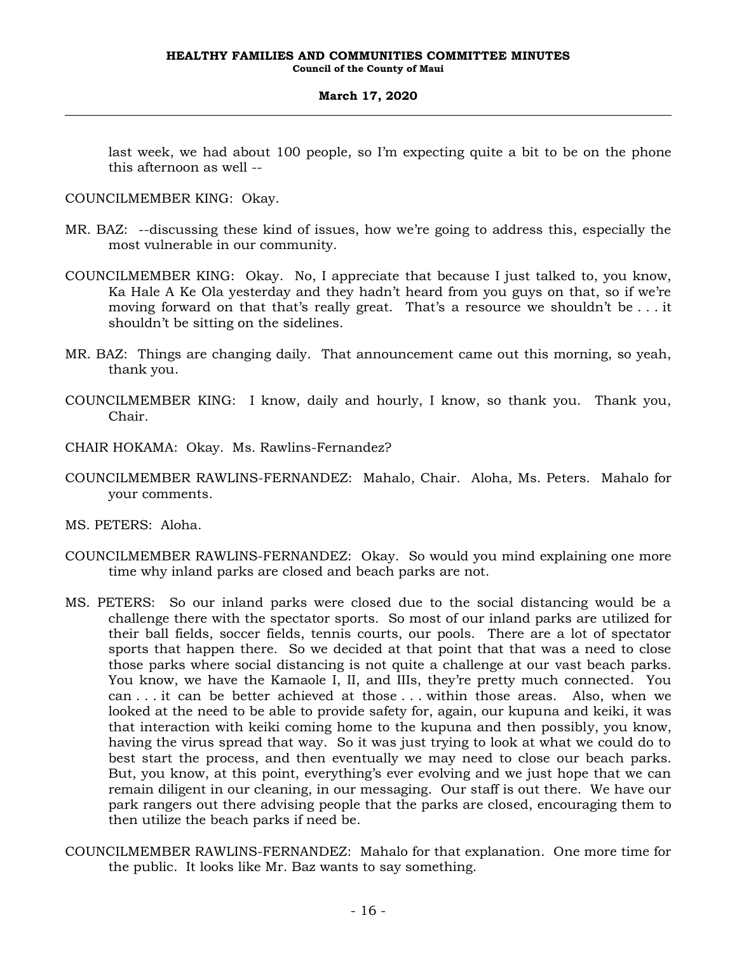last week, we had about 100 people, so I'm expecting quite a bit to be on the phone this afternoon as well --

COUNCILMEMBER KING: Okay.

- MR. BAZ: --discussing these kind of issues, how we're going to address this, especially the most vulnerable in our community.
- COUNCILMEMBER KING: Okay. No, I appreciate that because I just talked to, you know, Ka Hale A Ke Ola yesterday and they hadn't heard from you guys on that, so if we're moving forward on that that's really great. That's a resource we shouldn't be . . . it shouldn't be sitting on the sidelines.
- MR. BAZ: Things are changing daily. That announcement came out this morning, so yeah, thank you.
- COUNCILMEMBER KING: I know, daily and hourly, I know, so thank you. Thank you, Chair.
- CHAIR HOKAMA: Okay. Ms. Rawlins-Fernandez?
- COUNCILMEMBER RAWLINS-FERNANDEZ: Mahalo, Chair. Aloha, Ms. Peters. Mahalo for your comments.

MS. PETERS: Aloha.

- COUNCILMEMBER RAWLINS-FERNANDEZ: Okay. So would you mind explaining one more time why inland parks are closed and beach parks are not.
- MS. PETERS: So our inland parks were closed due to the social distancing would be a challenge there with the spectator sports. So most of our inland parks are utilized for their ball fields, soccer fields, tennis courts, our pools. There are a lot of spectator sports that happen there. So we decided at that point that that was a need to close those parks where social distancing is not quite a challenge at our vast beach parks. You know, we have the Kamaole I, II, and IIIs, they're pretty much connected. You can . . . it can be better achieved at those . . . within those areas. Also, when we looked at the need to be able to provide safety for, again, our kupuna and keiki, it was that interaction with keiki coming home to the kupuna and then possibly, you know, having the virus spread that way. So it was just trying to look at what we could do to best start the process, and then eventually we may need to close our beach parks. But, you know, at this point, everything's ever evolving and we just hope that we can remain diligent in our cleaning, in our messaging. Our staff is out there. We have our park rangers out there advising people that the parks are closed, encouraging them to then utilize the beach parks if need be.
- COUNCILMEMBER RAWLINS-FERNANDEZ: Mahalo for that explanation. One more time for the public. It looks like Mr. Baz wants to say something.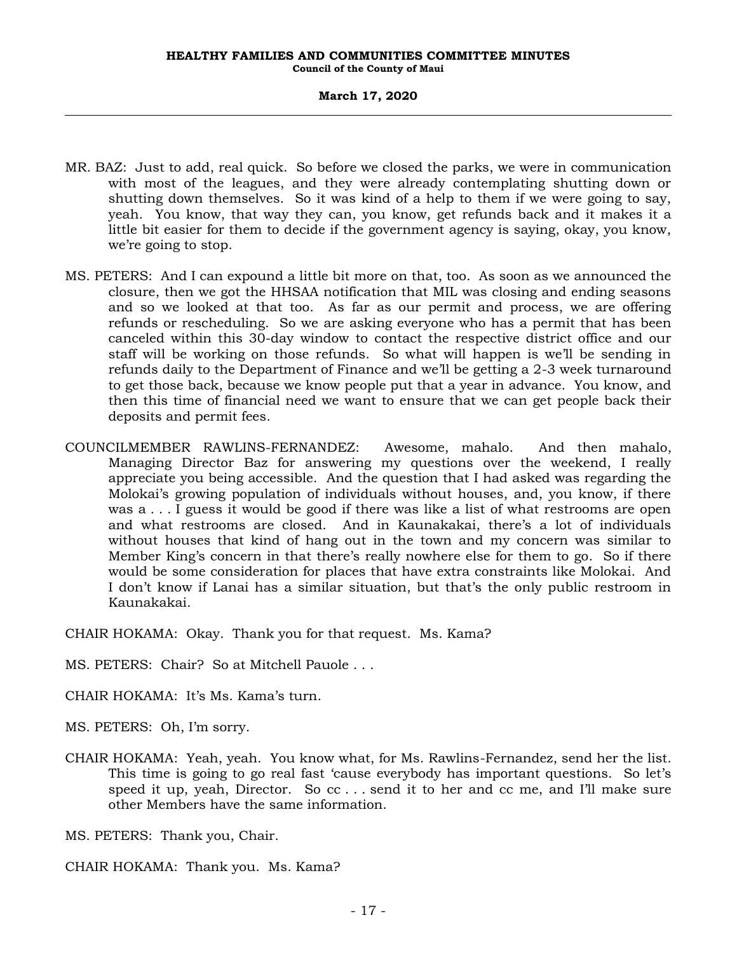- MR. BAZ: Just to add, real quick. So before we closed the parks, we were in communication with most of the leagues, and they were already contemplating shutting down or shutting down themselves. So it was kind of a help to them if we were going to say, yeah. You know, that way they can, you know, get refunds back and it makes it a little bit easier for them to decide if the government agency is saying, okay, you know, we're going to stop.
- MS. PETERS: And I can expound a little bit more on that, too. As soon as we announced the closure, then we got the HHSAA notification that MIL was closing and ending seasons and so we looked at that too. As far as our permit and process, we are offering refunds or rescheduling. So we are asking everyone who has a permit that has been canceled within this 30-day window to contact the respective district office and our staff will be working on those refunds. So what will happen is we'll be sending in refunds daily to the Department of Finance and we'll be getting a 2-3 week turnaround to get those back, because we know people put that a year in advance. You know, and then this time of financial need we want to ensure that we can get people back their deposits and permit fees.
- COUNCILMEMBER RAWLINS-FERNANDEZ: Awesome, mahalo. And then mahalo, Managing Director Baz for answering my questions over the weekend, I really appreciate you being accessible. And the question that I had asked was regarding the Molokai's growing population of individuals without houses, and, you know, if there was a . . . I guess it would be good if there was like a list of what restrooms are open and what restrooms are closed. And in Kaunakakai, there's a lot of individuals without houses that kind of hang out in the town and my concern was similar to Member King's concern in that there's really nowhere else for them to go. So if there would be some consideration for places that have extra constraints like Molokai. And I don't know if Lanai has a similar situation, but that's the only public restroom in Kaunakakai.

CHAIR HOKAMA: Okay. Thank you for that request. Ms. Kama?

MS. PETERS: Chair? So at Mitchell Pauole . . .

CHAIR HOKAMA: It's Ms. Kama's turn.

MS. PETERS: Oh, I'm sorry.

CHAIR HOKAMA: Yeah, yeah. You know what, for Ms. Rawlins-Fernandez, send her the list. This time is going to go real fast 'cause everybody has important questions. So let's speed it up, yeah, Director. So cc . . . send it to her and cc me, and I'll make sure other Members have the same information.

MS. PETERS: Thank you, Chair.

CHAIR HOKAMA: Thank you. Ms. Kama?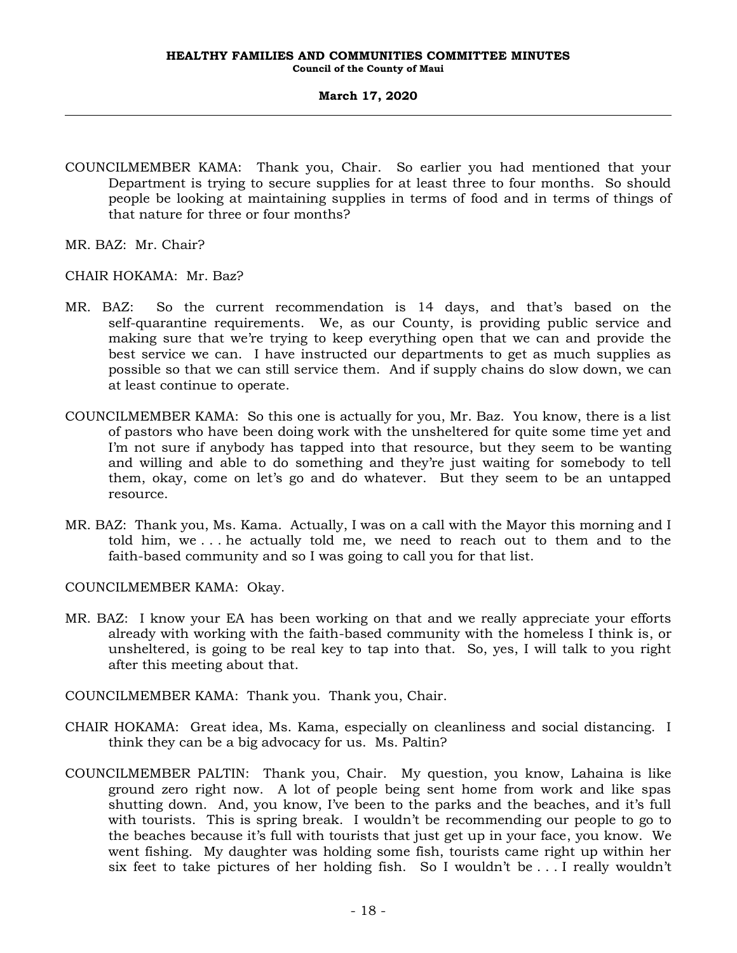COUNCILMEMBER KAMA: Thank you, Chair. So earlier you had mentioned that your Department is trying to secure supplies for at least three to four months. So should people be looking at maintaining supplies in terms of food and in terms of things of that nature for three or four months?

MR. BAZ: Mr. Chair?

CHAIR HOKAMA: Mr. Baz?

- MR. BAZ: So the current recommendation is 14 days, and that's based on the self-quarantine requirements. We, as our County, is providing public service and making sure that we're trying to keep everything open that we can and provide the best service we can. I have instructed our departments to get as much supplies as possible so that we can still service them. And if supply chains do slow down, we can at least continue to operate.
- COUNCILMEMBER KAMA: So this one is actually for you, Mr. Baz. You know, there is a list of pastors who have been doing work with the unsheltered for quite some time yet and I'm not sure if anybody has tapped into that resource, but they seem to be wanting and willing and able to do something and they're just waiting for somebody to tell them, okay, come on let's go and do whatever. But they seem to be an untapped resource.
- MR. BAZ: Thank you, Ms. Kama. Actually, I was on a call with the Mayor this morning and I told him, we . . . he actually told me, we need to reach out to them and to the faith-based community and so I was going to call you for that list.

COUNCILMEMBER KAMA: Okay.

- MR. BAZ: I know your EA has been working on that and we really appreciate your efforts already with working with the faith-based community with the homeless I think is, or unsheltered, is going to be real key to tap into that. So, yes, I will talk to you right after this meeting about that.
- COUNCILMEMBER KAMA: Thank you. Thank you, Chair.
- CHAIR HOKAMA: Great idea, Ms. Kama, especially on cleanliness and social distancing. I think they can be a big advocacy for us. Ms. Paltin?
- COUNCILMEMBER PALTIN: Thank you, Chair. My question, you know, Lahaina is like ground zero right now. A lot of people being sent home from work and like spas shutting down. And, you know, I've been to the parks and the beaches, and it's full with tourists. This is spring break. I wouldn't be recommending our people to go to the beaches because it's full with tourists that just get up in your face, you know. We went fishing. My daughter was holding some fish, tourists came right up within her six feet to take pictures of her holding fish. So I wouldn't be . . . I really wouldn't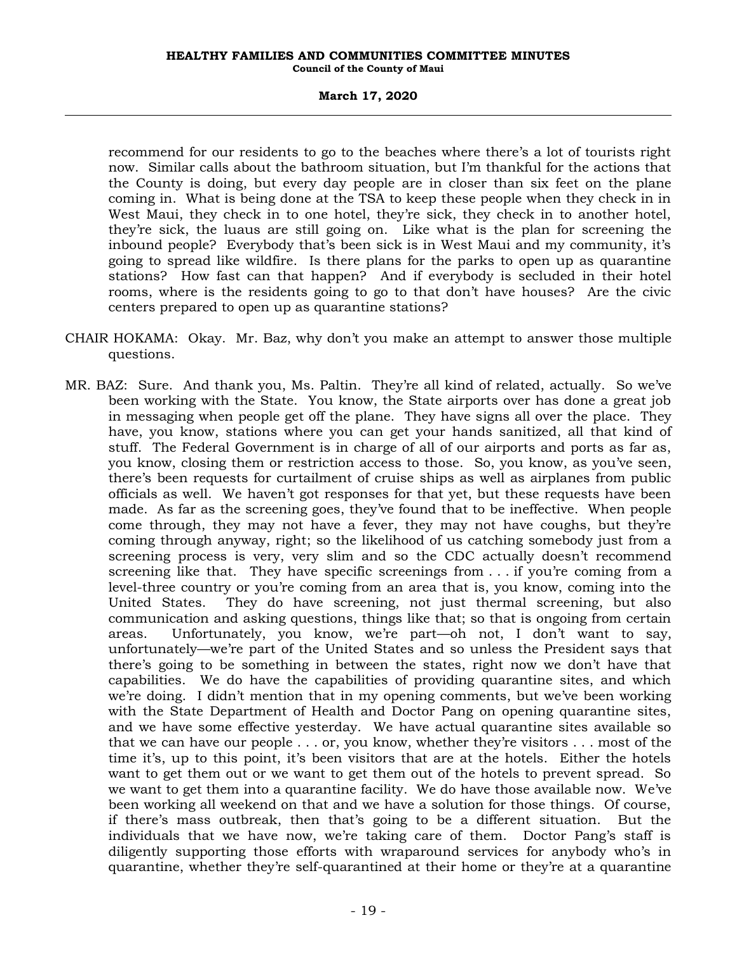# **March 17, 2020**

recommend for our residents to go to the beaches where there's a lot of tourists right now. Similar calls about the bathroom situation, but I'm thankful for the actions that the County is doing, but every day people are in closer than six feet on the plane coming in. What is being done at the TSA to keep these people when they check in in West Maui, they check in to one hotel, they're sick, they check in to another hotel, they're sick, the luaus are still going on. Like what is the plan for screening the inbound people? Everybody that's been sick is in West Maui and my community, it's going to spread like wildfire. Is there plans for the parks to open up as quarantine stations? How fast can that happen? And if everybody is secluded in their hotel rooms, where is the residents going to go to that don't have houses? Are the civic centers prepared to open up as quarantine stations?

- CHAIR HOKAMA: Okay. Mr. Baz, why don't you make an attempt to answer those multiple questions.
- MR. BAZ: Sure. And thank you, Ms. Paltin. They're all kind of related, actually. So we've been working with the State. You know, the State airports over has done a great job in messaging when people get off the plane. They have signs all over the place. They have, you know, stations where you can get your hands sanitized, all that kind of stuff. The Federal Government is in charge of all of our airports and ports as far as, you know, closing them or restriction access to those. So, you know, as you've seen, there's been requests for curtailment of cruise ships as well as airplanes from public officials as well. We haven't got responses for that yet, but these requests have been made. As far as the screening goes, they've found that to be ineffective. When people come through, they may not have a fever, they may not have coughs, but they're coming through anyway, right; so the likelihood of us catching somebody just from a screening process is very, very slim and so the CDC actually doesn't recommend screening like that. They have specific screenings from ... if you're coming from a level-three country or you're coming from an area that is, you know, coming into the United States. They do have screening, not just thermal screening, but also communication and asking questions, things like that; so that is ongoing from certain areas. Unfortunately, you know, we're part—oh not, I don't want to say, unfortunately—we're part of the United States and so unless the President says that there's going to be something in between the states, right now we don't have that capabilities. We do have the capabilities of providing quarantine sites, and which we're doing. I didn't mention that in my opening comments, but we've been working with the State Department of Health and Doctor Pang on opening quarantine sites, and we have some effective yesterday. We have actual quarantine sites available so that we can have our people . . . or, you know, whether they're visitors . . . most of the time it's, up to this point, it's been visitors that are at the hotels. Either the hotels want to get them out or we want to get them out of the hotels to prevent spread. So we want to get them into a quarantine facility. We do have those available now. We've been working all weekend on that and we have a solution for those things. Of course, if there's mass outbreak, then that's going to be a different situation. But the individuals that we have now, we're taking care of them. Doctor Pang's staff is diligently supporting those efforts with wraparound services for anybody who's in quarantine, whether they're self-quarantined at their home or they're at a quarantine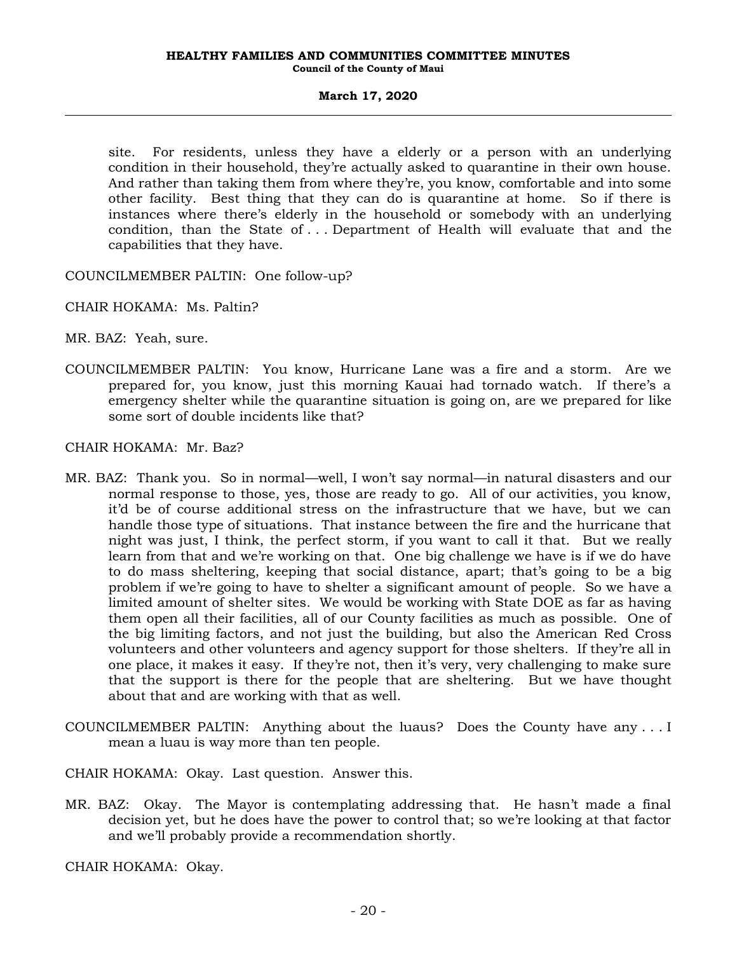site. For residents, unless they have a elderly or a person with an underlying condition in their household, they're actually asked to quarantine in their own house. And rather than taking them from where they're, you know, comfortable and into some other facility. Best thing that they can do is quarantine at home. So if there is instances where there's elderly in the household or somebody with an underlying condition, than the State of . . . Department of Health will evaluate that and the capabilities that they have.

COUNCILMEMBER PALTIN: One follow-up?

CHAIR HOKAMA: Ms. Paltin?

MR. BAZ: Yeah, sure.

COUNCILMEMBER PALTIN: You know, Hurricane Lane was a fire and a storm. Are we prepared for, you know, just this morning Kauai had tornado watch. If there's a emergency shelter while the quarantine situation is going on, are we prepared for like some sort of double incidents like that?

CHAIR HOKAMA: Mr. Baz?

- MR. BAZ: Thank you. So in normal—well, I won't say normal—in natural disasters and our normal response to those, yes, those are ready to go. All of our activities, you know, it'd be of course additional stress on the infrastructure that we have, but we can handle those type of situations. That instance between the fire and the hurricane that night was just, I think, the perfect storm, if you want to call it that. But we really learn from that and we're working on that. One big challenge we have is if we do have to do mass sheltering, keeping that social distance, apart; that's going to be a big problem if we're going to have to shelter a significant amount of people. So we have a limited amount of shelter sites. We would be working with State DOE as far as having them open all their facilities, all of our County facilities as much as possible. One of the big limiting factors, and not just the building, but also the American Red Cross volunteers and other volunteers and agency support for those shelters. If they're all in one place, it makes it easy. If they're not, then it's very, very challenging to make sure that the support is there for the people that are sheltering. But we have thought about that and are working with that as well.
- COUNCILMEMBER PALTIN: Anything about the luaus? Does the County have any . . . I mean a luau is way more than ten people.

CHAIR HOKAMA: Okay. Last question. Answer this.

MR. BAZ: Okay. The Mayor is contemplating addressing that. He hasn't made a final decision yet, but he does have the power to control that; so we're looking at that factor and we'll probably provide a recommendation shortly.

CHAIR HOKAMA: Okay.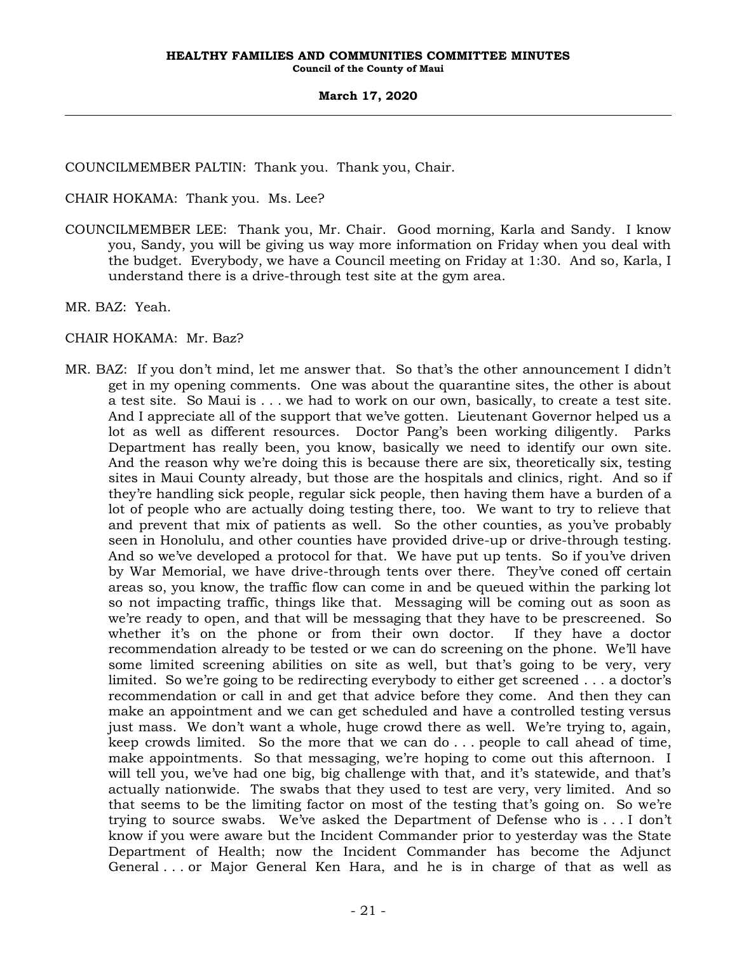COUNCILMEMBER PALTIN: Thank you. Thank you, Chair.

CHAIR HOKAMA: Thank you. Ms. Lee?

- COUNCILMEMBER LEE: Thank you, Mr. Chair. Good morning, Karla and Sandy. I know you, Sandy, you will be giving us way more information on Friday when you deal with the budget. Everybody, we have a Council meeting on Friday at 1:30. And so, Karla, I understand there is a drive-through test site at the gym area.
- MR. BAZ: Yeah.

# CHAIR HOKAMA: Mr. Baz?

MR. BAZ: If you don't mind, let me answer that. So that's the other announcement I didn't get in my opening comments. One was about the quarantine sites, the other is about a test site. So Maui is . . . we had to work on our own, basically, to create a test site. And I appreciate all of the support that we've gotten. Lieutenant Governor helped us a lot as well as different resources. Doctor Pang's been working diligently. Parks Department has really been, you know, basically we need to identify our own site. And the reason why we're doing this is because there are six, theoretically six, testing sites in Maui County already, but those are the hospitals and clinics, right. And so if they're handling sick people, regular sick people, then having them have a burden of a lot of people who are actually doing testing there, too. We want to try to relieve that and prevent that mix of patients as well. So the other counties, as you've probably seen in Honolulu, and other counties have provided drive-up or drive-through testing. And so we've developed a protocol for that. We have put up tents. So if you've driven by War Memorial, we have drive-through tents over there. They've coned off certain areas so, you know, the traffic flow can come in and be queued within the parking lot so not impacting traffic, things like that. Messaging will be coming out as soon as we're ready to open, and that will be messaging that they have to be prescreened. So whether it's on the phone or from their own doctor. If they have a doctor recommendation already to be tested or we can do screening on the phone. We'll have some limited screening abilities on site as well, but that's going to be very, very limited. So we're going to be redirecting everybody to either get screened . . . a doctor's recommendation or call in and get that advice before they come. And then they can make an appointment and we can get scheduled and have a controlled testing versus just mass. We don't want a whole, huge crowd there as well. We're trying to, again, keep crowds limited. So the more that we can do . . . people to call ahead of time, make appointments. So that messaging, we're hoping to come out this afternoon. I will tell you, we've had one big, big challenge with that, and it's statewide, and that's actually nationwide. The swabs that they used to test are very, very limited. And so that seems to be the limiting factor on most of the testing that's going on. So we're trying to source swabs. We've asked the Department of Defense who is . . . I don't know if you were aware but the Incident Commander prior to yesterday was the State Department of Health; now the Incident Commander has become the Adjunct General . . . or Major General Ken Hara, and he is in charge of that as well as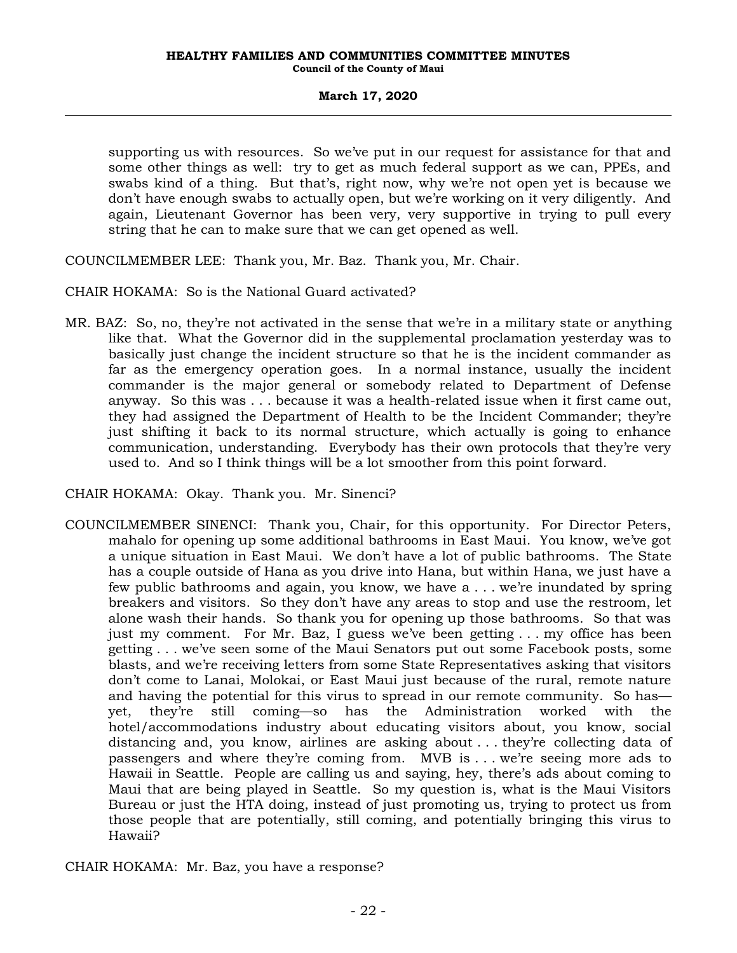supporting us with resources. So we've put in our request for assistance for that and some other things as well: try to get as much federal support as we can, PPEs, and swabs kind of a thing. But that's, right now, why we're not open yet is because we don't have enough swabs to actually open, but we're working on it very diligently. And again, Lieutenant Governor has been very, very supportive in trying to pull every string that he can to make sure that we can get opened as well.

COUNCILMEMBER LEE: Thank you, Mr. Baz. Thank you, Mr. Chair.

CHAIR HOKAMA: So is the National Guard activated?

MR. BAZ: So, no, they're not activated in the sense that we're in a military state or anything like that. What the Governor did in the supplemental proclamation yesterday was to basically just change the incident structure so that he is the incident commander as far as the emergency operation goes. In a normal instance, usually the incident commander is the major general or somebody related to Department of Defense anyway. So this was . . . because it was a health-related issue when it first came out, they had assigned the Department of Health to be the Incident Commander; they're just shifting it back to its normal structure, which actually is going to enhance communication, understanding. Everybody has their own protocols that they're very used to. And so I think things will be a lot smoother from this point forward.

CHAIR HOKAMA: Okay. Thank you. Mr. Sinenci?

COUNCILMEMBER SINENCI: Thank you, Chair, for this opportunity. For Director Peters, mahalo for opening up some additional bathrooms in East Maui. You know, we've got a unique situation in East Maui. We don't have a lot of public bathrooms. The State has a couple outside of Hana as you drive into Hana, but within Hana, we just have a few public bathrooms and again, you know, we have a . . . we're inundated by spring breakers and visitors. So they don't have any areas to stop and use the restroom, let alone wash their hands. So thank you for opening up those bathrooms. So that was just my comment. For Mr. Baz, I guess we've been getting . . . my office has been getting . . . we've seen some of the Maui Senators put out some Facebook posts, some blasts, and we're receiving letters from some State Representatives asking that visitors don't come to Lanai, Molokai, or East Maui just because of the rural, remote nature and having the potential for this virus to spread in our remote community. So has yet, they're still coming—so has the Administration worked with the hotel/accommodations industry about educating visitors about, you know, social distancing and, you know, airlines are asking about . . . they're collecting data of passengers and where they're coming from. MVB is . . . we're seeing more ads to Hawaii in Seattle. People are calling us and saying, hey, there's ads about coming to Maui that are being played in Seattle. So my question is, what is the Maui Visitors Bureau or just the HTA doing, instead of just promoting us, trying to protect us from those people that are potentially, still coming, and potentially bringing this virus to Hawaii?

CHAIR HOKAMA: Mr. Baz, you have a response?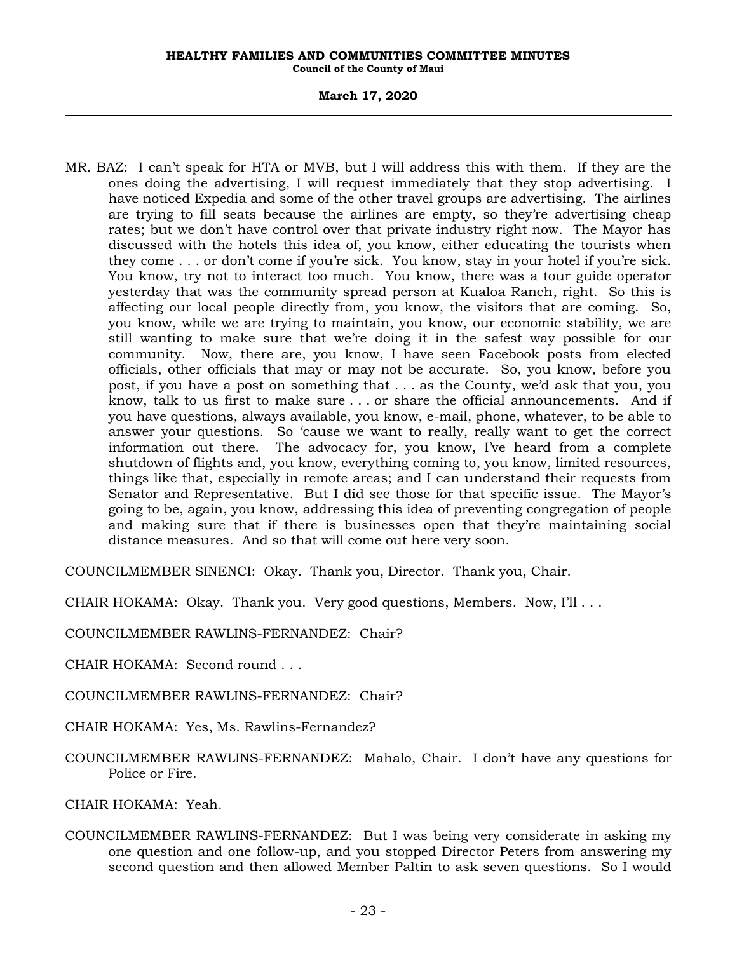# **March 17, 2020**

MR. BAZ: I can't speak for HTA or MVB, but I will address this with them. If they are the ones doing the advertising, I will request immediately that they stop advertising. I have noticed Expedia and some of the other travel groups are advertising. The airlines are trying to fill seats because the airlines are empty, so they're advertising cheap rates; but we don't have control over that private industry right now. The Mayor has discussed with the hotels this idea of, you know, either educating the tourists when they come . . . or don't come if you're sick. You know, stay in your hotel if you're sick. You know, try not to interact too much. You know, there was a tour guide operator yesterday that was the community spread person at Kualoa Ranch, right. So this is affecting our local people directly from, you know, the visitors that are coming. So, you know, while we are trying to maintain, you know, our economic stability, we are still wanting to make sure that we're doing it in the safest way possible for our community. Now, there are, you know, I have seen Facebook posts from elected officials, other officials that may or may not be accurate. So, you know, before you post, if you have a post on something that . . . as the County, we'd ask that you, you know, talk to us first to make sure . . . or share the official announcements. And if you have questions, always available, you know, e-mail, phone, whatever, to be able to answer your questions. So 'cause we want to really, really want to get the correct information out there. The advocacy for, you know, I've heard from a complete shutdown of flights and, you know, everything coming to, you know, limited resources, things like that, especially in remote areas; and I can understand their requests from Senator and Representative. But I did see those for that specific issue. The Mayor's going to be, again, you know, addressing this idea of preventing congregation of people and making sure that if there is businesses open that they're maintaining social distance measures. And so that will come out here very soon.

COUNCILMEMBER SINENCI: Okay. Thank you, Director. Thank you, Chair.

CHAIR HOKAMA: Okay. Thank you. Very good questions, Members. Now, I'll . . .

COUNCILMEMBER RAWLINS-FERNANDEZ: Chair?

CHAIR HOKAMA: Second round . . .

COUNCILMEMBER RAWLINS-FERNANDEZ: Chair?

CHAIR HOKAMA: Yes, Ms. Rawlins-Fernandez?

COUNCILMEMBER RAWLINS-FERNANDEZ: Mahalo, Chair. I don't have any questions for Police or Fire.

CHAIR HOKAMA: Yeah.

COUNCILMEMBER RAWLINS-FERNANDEZ: But I was being very considerate in asking my one question and one follow-up, and you stopped Director Peters from answering my second question and then allowed Member Paltin to ask seven questions. So I would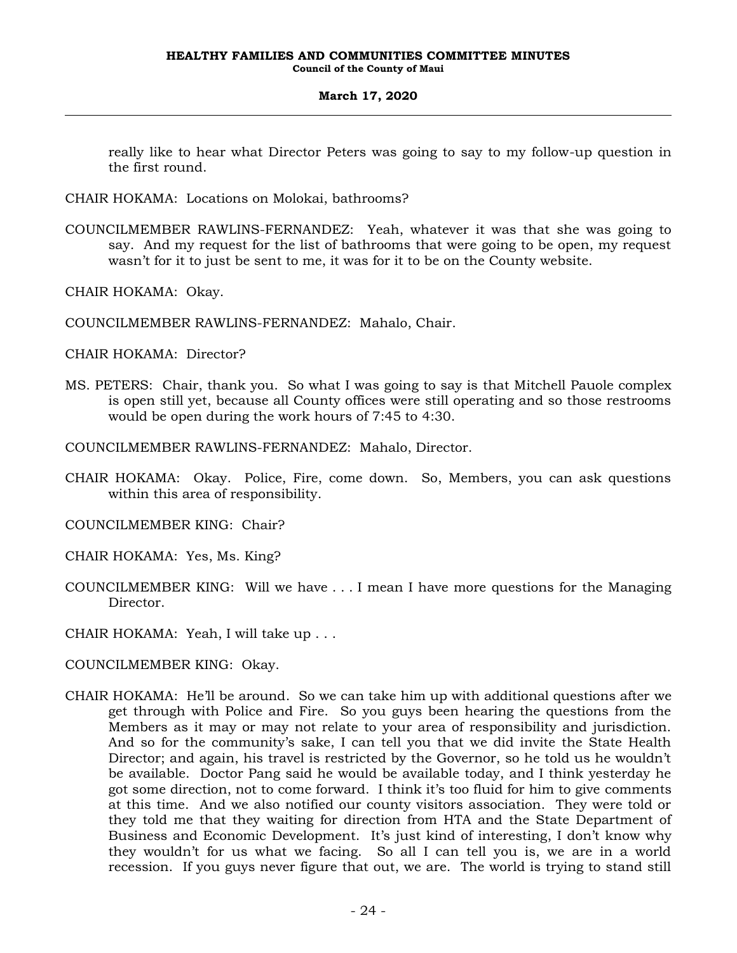really like to hear what Director Peters was going to say to my follow-up question in the first round.

- CHAIR HOKAMA: Locations on Molokai, bathrooms?
- COUNCILMEMBER RAWLINS-FERNANDEZ: Yeah, whatever it was that she was going to say. And my request for the list of bathrooms that were going to be open, my request wasn't for it to just be sent to me, it was for it to be on the County website.
- CHAIR HOKAMA: Okay.
- COUNCILMEMBER RAWLINS-FERNANDEZ: Mahalo, Chair.
- CHAIR HOKAMA: Director?
- MS. PETERS: Chair, thank you. So what I was going to say is that Mitchell Pauole complex is open still yet, because all County offices were still operating and so those restrooms would be open during the work hours of 7:45 to 4:30.
- COUNCILMEMBER RAWLINS-FERNANDEZ: Mahalo, Director.
- CHAIR HOKAMA: Okay. Police, Fire, come down. So, Members, you can ask questions within this area of responsibility.
- COUNCILMEMBER KING: Chair?
- CHAIR HOKAMA: Yes, Ms. King?
- COUNCILMEMBER KING: Will we have . . . I mean I have more questions for the Managing Director.
- CHAIR HOKAMA: Yeah, I will take up . . .
- COUNCILMEMBER KING: Okay.
- CHAIR HOKAMA: He'll be around. So we can take him up with additional questions after we get through with Police and Fire. So you guys been hearing the questions from the Members as it may or may not relate to your area of responsibility and jurisdiction. And so for the community's sake, I can tell you that we did invite the State Health Director; and again, his travel is restricted by the Governor, so he told us he wouldn't be available. Doctor Pang said he would be available today, and I think yesterday he got some direction, not to come forward. I think it's too fluid for him to give comments at this time. And we also notified our county visitors association. They were told or they told me that they waiting for direction from HTA and the State Department of Business and Economic Development. It's just kind of interesting, I don't know why they wouldn't for us what we facing. So all I can tell you is, we are in a world recession. If you guys never figure that out, we are. The world is trying to stand still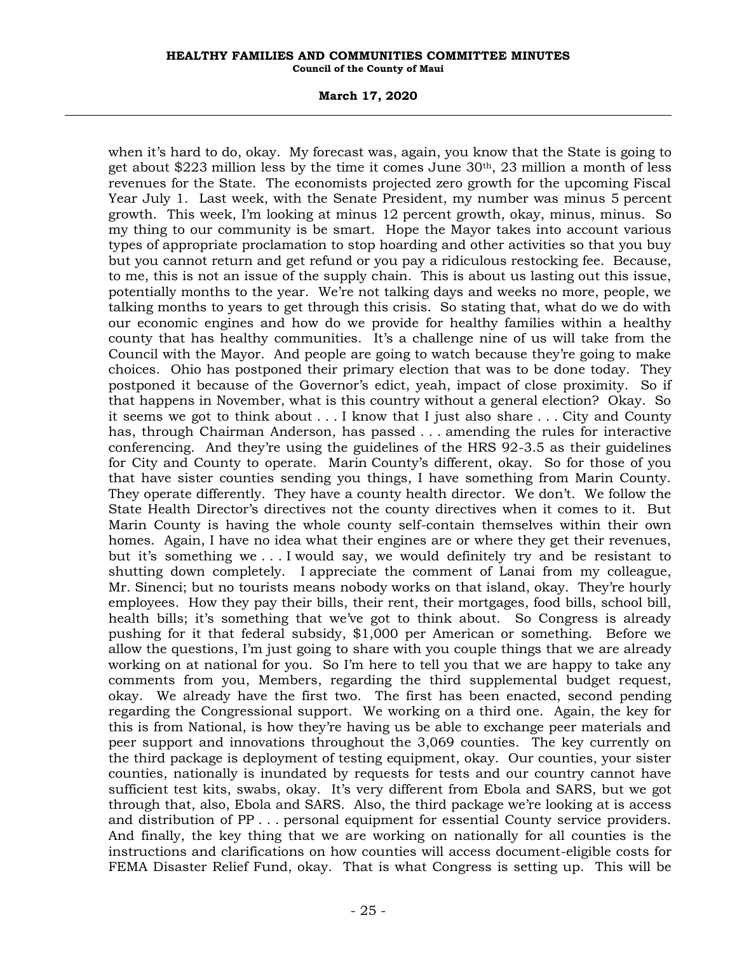## **March 17, 2020**

when it's hard to do, okay. My forecast was, again, you know that the State is going to get about \$223 million less by the time it comes June  $30<sup>th</sup>$ , 23 million a month of less revenues for the State. The economists projected zero growth for the upcoming Fiscal Year July 1. Last week, with the Senate President, my number was minus 5 percent growth. This week, I'm looking at minus 12 percent growth, okay, minus, minus. So my thing to our community is be smart. Hope the Mayor takes into account various types of appropriate proclamation to stop hoarding and other activities so that you buy but you cannot return and get refund or you pay a ridiculous restocking fee. Because, to me, this is not an issue of the supply chain. This is about us lasting out this issue, potentially months to the year. We're not talking days and weeks no more, people, we talking months to years to get through this crisis. So stating that, what do we do with our economic engines and how do we provide for healthy families within a healthy county that has healthy communities. It's a challenge nine of us will take from the Council with the Mayor. And people are going to watch because they're going to make choices. Ohio has postponed their primary election that was to be done today. They postponed it because of the Governor's edict, yeah, impact of close proximity. So if that happens in November, what is this country without a general election? Okay. So it seems we got to think about . . . I know that I just also share . . . City and County has, through Chairman Anderson, has passed . . . amending the rules for interactive conferencing. And they're using the guidelines of the HRS 92-3.5 as their guidelines for City and County to operate. Marin County's different, okay. So for those of you that have sister counties sending you things, I have something from Marin County. They operate differently. They have a county health director. We don't. We follow the State Health Director's directives not the county directives when it comes to it. But Marin County is having the whole county self-contain themselves within their own homes. Again, I have no idea what their engines are or where they get their revenues, but it's something we . . . I would say, we would definitely try and be resistant to shutting down completely. I appreciate the comment of Lanai from my colleague, Mr. Sinenci; but no tourists means nobody works on that island, okay. They're hourly employees. How they pay their bills, their rent, their mortgages, food bills, school bill, health bills; it's something that we've got to think about. So Congress is already pushing for it that federal subsidy, \$1,000 per American or something. Before we allow the questions, I'm just going to share with you couple things that we are already working on at national for you. So I'm here to tell you that we are happy to take any comments from you, Members, regarding the third supplemental budget request, okay. We already have the first two. The first has been enacted, second pending regarding the Congressional support. We working on a third one. Again, the key for this is from National, is how they're having us be able to exchange peer materials and peer support and innovations throughout the 3,069 counties. The key currently on the third package is deployment of testing equipment, okay. Our counties, your sister counties, nationally is inundated by requests for tests and our country cannot have sufficient test kits, swabs, okay. It's very different from Ebola and SARS, but we got through that, also, Ebola and SARS. Also, the third package we're looking at is access and distribution of PP . . . personal equipment for essential County service providers. And finally, the key thing that we are working on nationally for all counties is the instructions and clarifications on how counties will access document-eligible costs for FEMA Disaster Relief Fund, okay. That is what Congress is setting up. This will be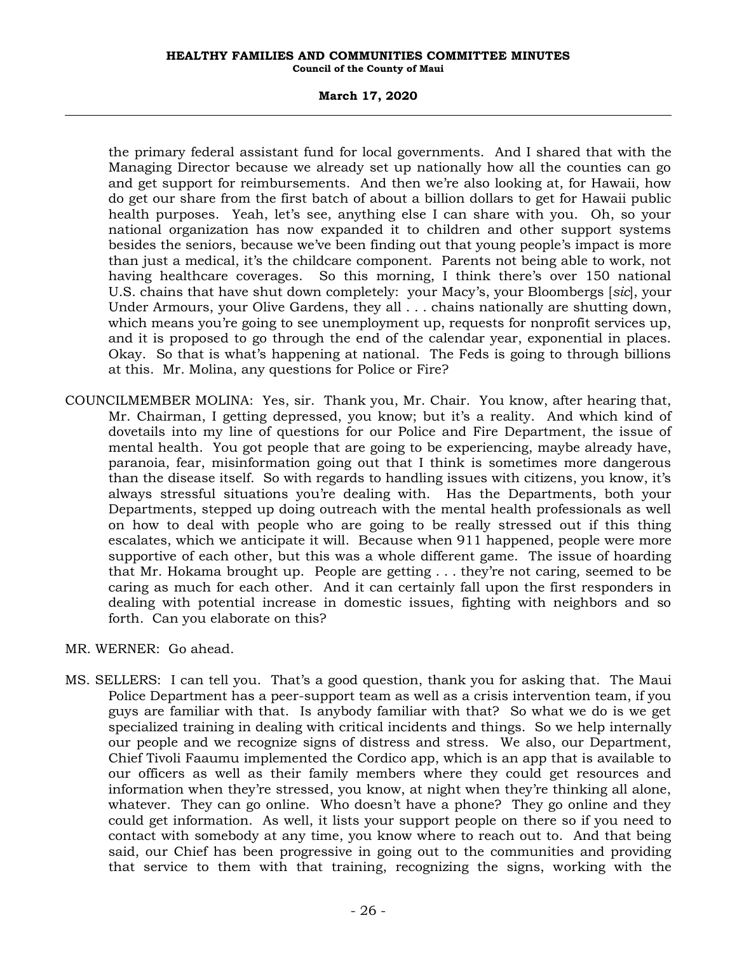# **March 17, 2020**

the primary federal assistant fund for local governments. And I shared that with the Managing Director because we already set up nationally how all the counties can go and get support for reimbursements. And then we're also looking at, for Hawaii, how do get our share from the first batch of about a billion dollars to get for Hawaii public health purposes. Yeah, let's see, anything else I can share with you. Oh, so your national organization has now expanded it to children and other support systems besides the seniors, because we've been finding out that young people's impact is more than just a medical, it's the childcare component. Parents not being able to work, not having healthcare coverages. So this morning, I think there's over 150 national U.S. chains that have shut down completely: your Macy's, your Bloombergs [*sic*], your Under Armours, your Olive Gardens, they all . . . chains nationally are shutting down, which means you're going to see unemployment up, requests for nonprofit services up, and it is proposed to go through the end of the calendar year, exponential in places. Okay. So that is what's happening at national. The Feds is going to through billions at this. Mr. Molina, any questions for Police or Fire?

COUNCILMEMBER MOLINA: Yes, sir. Thank you, Mr. Chair. You know, after hearing that, Mr. Chairman, I getting depressed, you know; but it's a reality. And which kind of dovetails into my line of questions for our Police and Fire Department, the issue of mental health. You got people that are going to be experiencing, maybe already have, paranoia, fear, misinformation going out that I think is sometimes more dangerous than the disease itself. So with regards to handling issues with citizens, you know, it's always stressful situations you're dealing with. Has the Departments, both your Departments, stepped up doing outreach with the mental health professionals as well on how to deal with people who are going to be really stressed out if this thing escalates, which we anticipate it will. Because when 911 happened, people were more supportive of each other, but this was a whole different game. The issue of hoarding that Mr. Hokama brought up. People are getting . . . they're not caring, seemed to be caring as much for each other. And it can certainly fall upon the first responders in dealing with potential increase in domestic issues, fighting with neighbors and so forth. Can you elaborate on this?

MR. WERNER: Go ahead.

MS. SELLERS: I can tell you. That's a good question, thank you for asking that. The Maui Police Department has a peer-support team as well as a crisis intervention team, if you guys are familiar with that. Is anybody familiar with that? So what we do is we get specialized training in dealing with critical incidents and things. So we help internally our people and we recognize signs of distress and stress. We also, our Department, Chief Tivoli Faaumu implemented the Cordico app, which is an app that is available to our officers as well as their family members where they could get resources and information when they're stressed, you know, at night when they're thinking all alone, whatever. They can go online. Who doesn't have a phone? They go online and they could get information. As well, it lists your support people on there so if you need to contact with somebody at any time, you know where to reach out to. And that being said, our Chief has been progressive in going out to the communities and providing that service to them with that training, recognizing the signs, working with the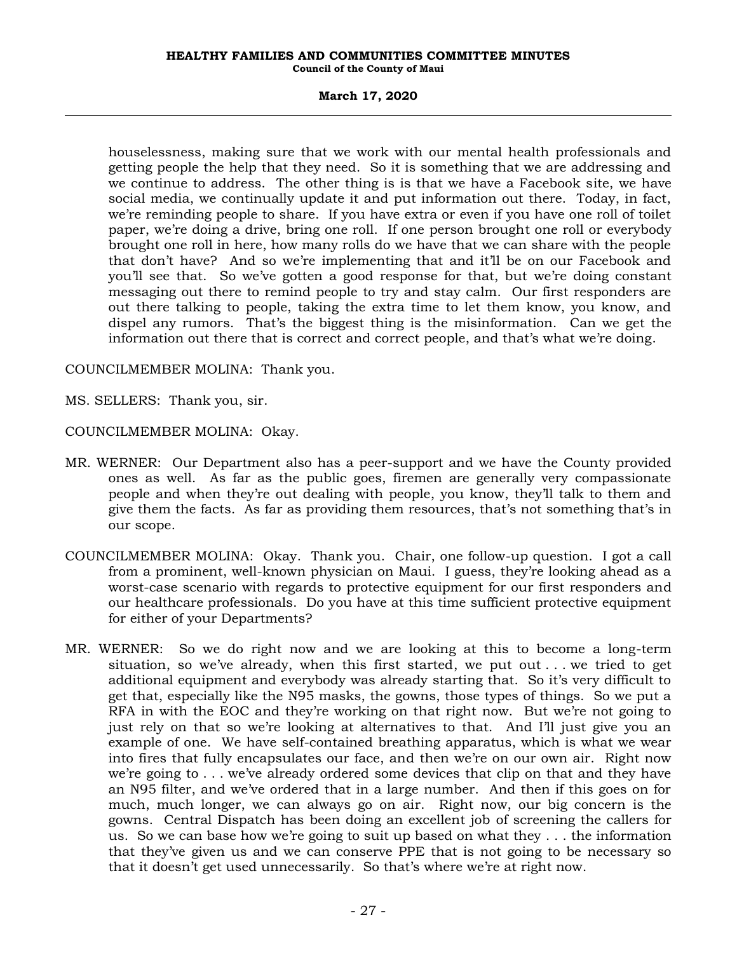# **March 17, 2020**

houselessness, making sure that we work with our mental health professionals and getting people the help that they need. So it is something that we are addressing and we continue to address. The other thing is is that we have a Facebook site, we have social media, we continually update it and put information out there. Today, in fact, we're reminding people to share. If you have extra or even if you have one roll of toilet paper, we're doing a drive, bring one roll. If one person brought one roll or everybody brought one roll in here, how many rolls do we have that we can share with the people that don't have? And so we're implementing that and it'll be on our Facebook and you'll see that. So we've gotten a good response for that, but we're doing constant messaging out there to remind people to try and stay calm. Our first responders are out there talking to people, taking the extra time to let them know, you know, and dispel any rumors. That's the biggest thing is the misinformation. Can we get the information out there that is correct and correct people, and that's what we're doing.

COUNCILMEMBER MOLINA: Thank you.

MS. SELLERS: Thank you, sir.

COUNCILMEMBER MOLINA: Okay.

- MR. WERNER: Our Department also has a peer-support and we have the County provided ones as well. As far as the public goes, firemen are generally very compassionate people and when they're out dealing with people, you know, they'll talk to them and give them the facts. As far as providing them resources, that's not something that's in our scope.
- COUNCILMEMBER MOLINA: Okay. Thank you. Chair, one follow-up question. I got a call from a prominent, well-known physician on Maui. I guess, they're looking ahead as a worst-case scenario with regards to protective equipment for our first responders and our healthcare professionals. Do you have at this time sufficient protective equipment for either of your Departments?
- MR. WERNER: So we do right now and we are looking at this to become a long-term situation, so we've already, when this first started, we put out . . . we tried to get additional equipment and everybody was already starting that. So it's very difficult to get that, especially like the N95 masks, the gowns, those types of things. So we put a RFA in with the EOC and they're working on that right now. But we're not going to just rely on that so we're looking at alternatives to that. And I'll just give you an example of one. We have self-contained breathing apparatus, which is what we wear into fires that fully encapsulates our face, and then we're on our own air. Right now we're going to . . . we've already ordered some devices that clip on that and they have an N95 filter, and we've ordered that in a large number. And then if this goes on for much, much longer, we can always go on air. Right now, our big concern is the gowns. Central Dispatch has been doing an excellent job of screening the callers for us. So we can base how we're going to suit up based on what they . . . the information that they've given us and we can conserve PPE that is not going to be necessary so that it doesn't get used unnecessarily. So that's where we're at right now.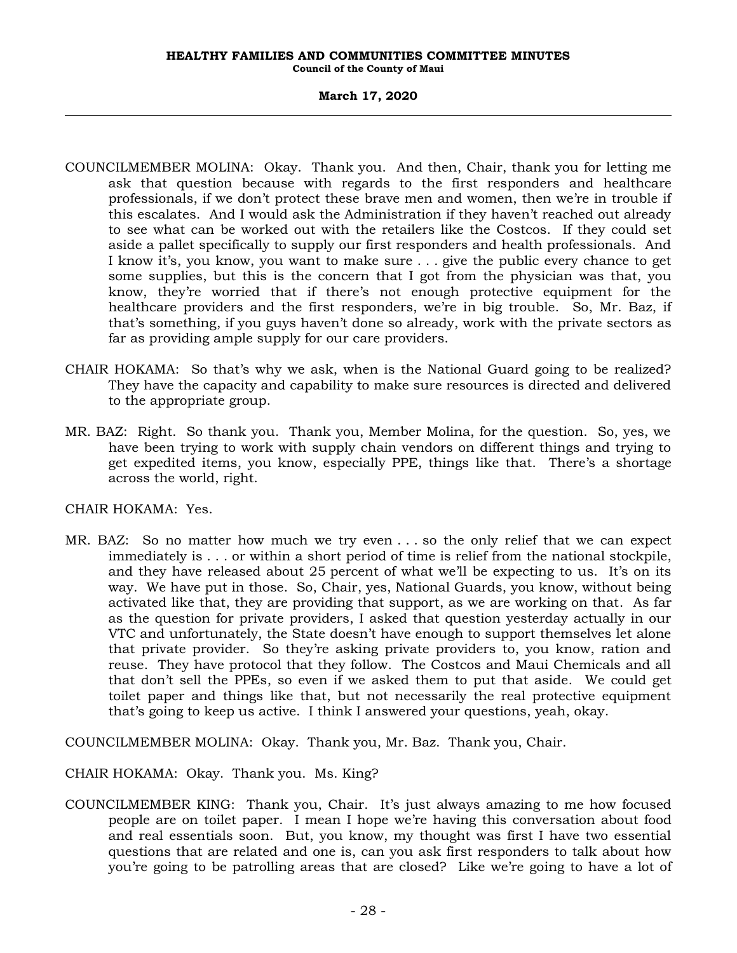- COUNCILMEMBER MOLINA: Okay. Thank you. And then, Chair, thank you for letting me ask that question because with regards to the first responders and healthcare professionals, if we don't protect these brave men and women, then we're in trouble if this escalates. And I would ask the Administration if they haven't reached out already to see what can be worked out with the retailers like the Costcos. If they could set aside a pallet specifically to supply our first responders and health professionals. And I know it's, you know, you want to make sure . . . give the public every chance to get some supplies, but this is the concern that I got from the physician was that, you know, they're worried that if there's not enough protective equipment for the healthcare providers and the first responders, we're in big trouble. So, Mr. Baz, if that's something, if you guys haven't done so already, work with the private sectors as far as providing ample supply for our care providers.
- CHAIR HOKAMA: So that's why we ask, when is the National Guard going to be realized? They have the capacity and capability to make sure resources is directed and delivered to the appropriate group.
- MR. BAZ: Right. So thank you. Thank you, Member Molina, for the question. So, yes, we have been trying to work with supply chain vendors on different things and trying to get expedited items, you know, especially PPE, things like that. There's a shortage across the world, right.

# CHAIR HOKAMA: Yes.

MR. BAZ: So no matter how much we try even . . . so the only relief that we can expect immediately is . . . or within a short period of time is relief from the national stockpile, and they have released about 25 percent of what we'll be expecting to us. It's on its way. We have put in those. So, Chair, yes, National Guards, you know, without being activated like that, they are providing that support, as we are working on that. As far as the question for private providers, I asked that question yesterday actually in our VTC and unfortunately, the State doesn't have enough to support themselves let alone that private provider. So they're asking private providers to, you know, ration and reuse. They have protocol that they follow. The Costcos and Maui Chemicals and all that don't sell the PPEs, so even if we asked them to put that aside. We could get toilet paper and things like that, but not necessarily the real protective equipment that's going to keep us active. I think I answered your questions, yeah, okay.

COUNCILMEMBER MOLINA: Okay. Thank you, Mr. Baz. Thank you, Chair.

# CHAIR HOKAMA: Okay. Thank you. Ms. King?

COUNCILMEMBER KING: Thank you, Chair. It's just always amazing to me how focused people are on toilet paper. I mean I hope we're having this conversation about food and real essentials soon. But, you know, my thought was first I have two essential questions that are related and one is, can you ask first responders to talk about how you're going to be patrolling areas that are closed? Like we're going to have a lot of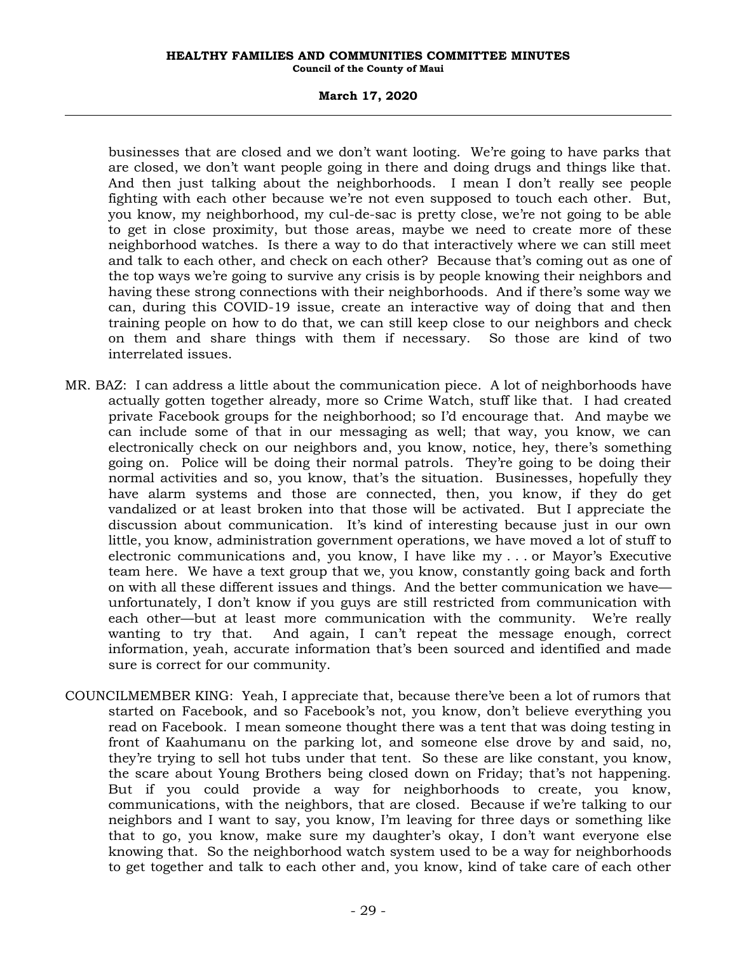# **March 17, 2020**

businesses that are closed and we don't want looting. We're going to have parks that are closed, we don't want people going in there and doing drugs and things like that. And then just talking about the neighborhoods. I mean I don't really see people fighting with each other because we're not even supposed to touch each other. But, you know, my neighborhood, my cul-de-sac is pretty close, we're not going to be able to get in close proximity, but those areas, maybe we need to create more of these neighborhood watches. Is there a way to do that interactively where we can still meet and talk to each other, and check on each other? Because that's coming out as one of the top ways we're going to survive any crisis is by people knowing their neighbors and having these strong connections with their neighborhoods. And if there's some way we can, during this COVID-19 issue, create an interactive way of doing that and then training people on how to do that, we can still keep close to our neighbors and check on them and share things with them if necessary. So those are kind of two interrelated issues.

- MR. BAZ: I can address a little about the communication piece. A lot of neighborhoods have actually gotten together already, more so Crime Watch, stuff like that. I had created private Facebook groups for the neighborhood; so I'd encourage that. And maybe we can include some of that in our messaging as well; that way, you know, we can electronically check on our neighbors and, you know, notice, hey, there's something going on. Police will be doing their normal patrols. They're going to be doing their normal activities and so, you know, that's the situation. Businesses, hopefully they have alarm systems and those are connected, then, you know, if they do get vandalized or at least broken into that those will be activated. But I appreciate the discussion about communication. It's kind of interesting because just in our own little, you know, administration government operations, we have moved a lot of stuff to electronic communications and, you know, I have like my . . . or Mayor's Executive team here. We have a text group that we, you know, constantly going back and forth on with all these different issues and things. And the better communication we have unfortunately, I don't know if you guys are still restricted from communication with each other—but at least more communication with the community. We're really wanting to try that. And again, I can't repeat the message enough, correct information, yeah, accurate information that's been sourced and identified and made sure is correct for our community.
- COUNCILMEMBER KING: Yeah, I appreciate that, because there've been a lot of rumors that started on Facebook, and so Facebook's not, you know, don't believe everything you read on Facebook. I mean someone thought there was a tent that was doing testing in front of Kaahumanu on the parking lot, and someone else drove by and said, no, they're trying to sell hot tubs under that tent. So these are like constant, you know, the scare about Young Brothers being closed down on Friday; that's not happening. But if you could provide a way for neighborhoods to create, you know, communications, with the neighbors, that are closed. Because if we're talking to our neighbors and I want to say, you know, I'm leaving for three days or something like that to go, you know, make sure my daughter's okay, I don't want everyone else knowing that. So the neighborhood watch system used to be a way for neighborhoods to get together and talk to each other and, you know, kind of take care of each other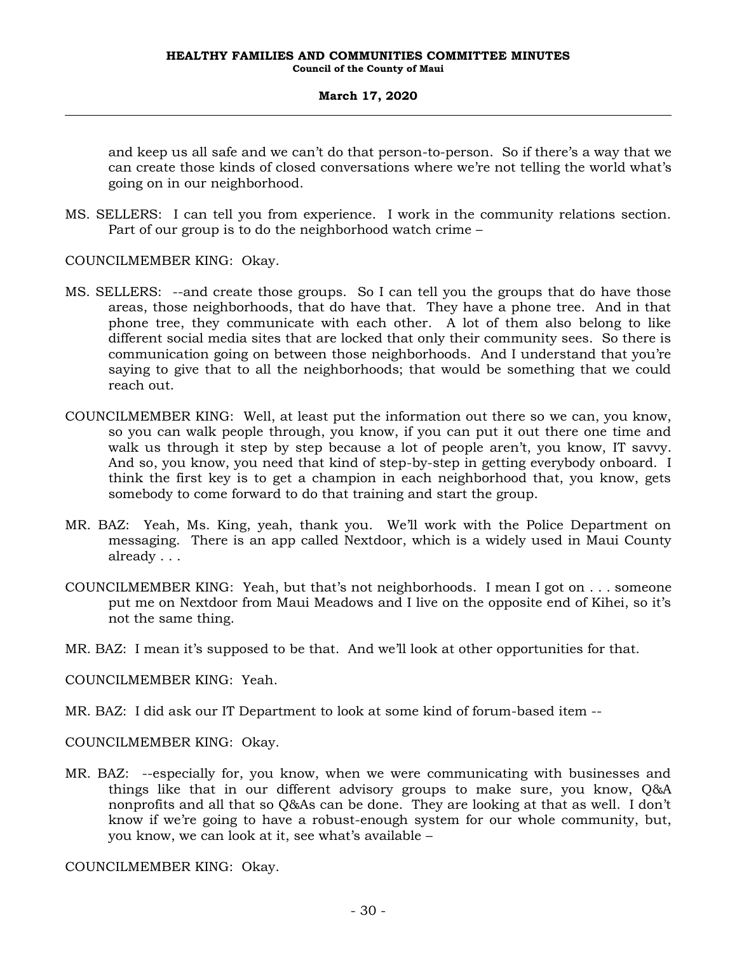and keep us all safe and we can't do that person-to-person. So if there's a way that we can create those kinds of closed conversations where we're not telling the world what's going on in our neighborhood.

MS. SELLERS: I can tell you from experience. I work in the community relations section. Part of our group is to do the neighborhood watch crime –

COUNCILMEMBER KING: Okay.

- MS. SELLERS: --and create those groups. So I can tell you the groups that do have those areas, those neighborhoods, that do have that. They have a phone tree. And in that phone tree, they communicate with each other. A lot of them also belong to like different social media sites that are locked that only their community sees. So there is communication going on between those neighborhoods. And I understand that you're saying to give that to all the neighborhoods; that would be something that we could reach out.
- COUNCILMEMBER KING: Well, at least put the information out there so we can, you know, so you can walk people through, you know, if you can put it out there one time and walk us through it step by step because a lot of people aren't, you know, IT savvy. And so, you know, you need that kind of step-by-step in getting everybody onboard. I think the first key is to get a champion in each neighborhood that, you know, gets somebody to come forward to do that training and start the group.
- MR. BAZ: Yeah, Ms. King, yeah, thank you. We'll work with the Police Department on messaging. There is an app called Nextdoor, which is a widely used in Maui County already . . .
- COUNCILMEMBER KING: Yeah, but that's not neighborhoods. I mean I got on . . . someone put me on Nextdoor from Maui Meadows and I live on the opposite end of Kihei, so it's not the same thing.
- MR. BAZ: I mean it's supposed to be that. And we'll look at other opportunities for that.

COUNCILMEMBER KING: Yeah.

MR. BAZ: I did ask our IT Department to look at some kind of forum-based item --

COUNCILMEMBER KING: Okay.

MR. BAZ: --especially for, you know, when we were communicating with businesses and things like that in our different advisory groups to make sure, you know, Q&A nonprofits and all that so Q&As can be done. They are looking at that as well. I don't know if we're going to have a robust-enough system for our whole community, but, you know, we can look at it, see what's available –

COUNCILMEMBER KING: Okay.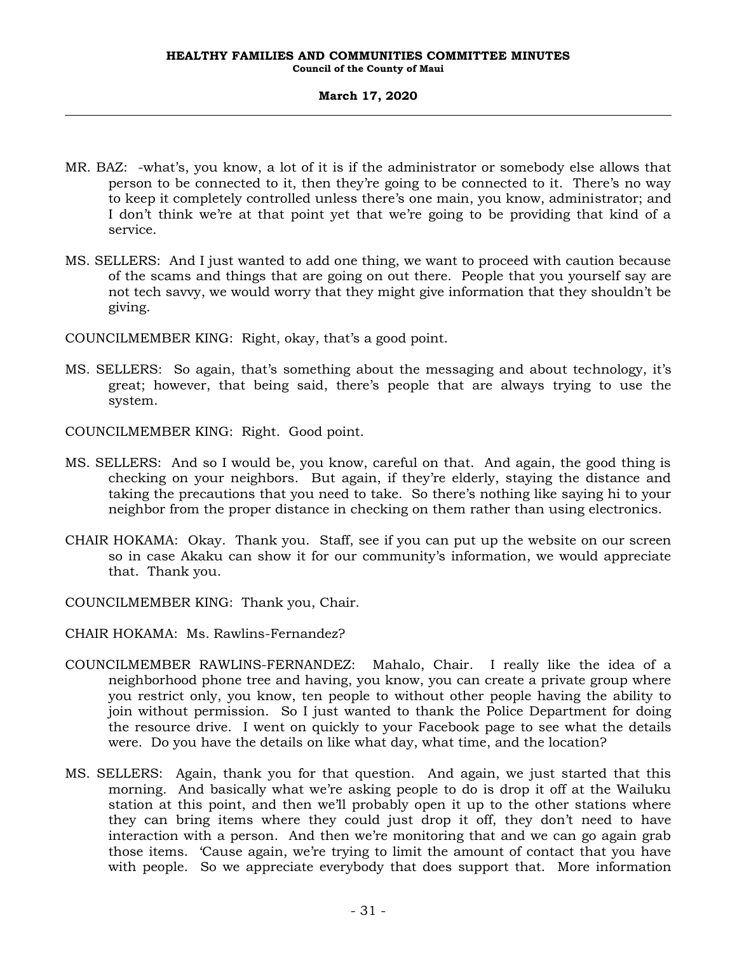- MR. BAZ: -what's, you know, a lot of it is if the administrator or somebody else allows that person to be connected to it, then they're going to be connected to it. There's no way to keep it completely controlled unless there's one main, you know, administrator; and I don't think we're at that point yet that we're going to be providing that kind of a service.
- MS. SELLERS: And I just wanted to add one thing, we want to proceed with caution because of the scams and things that are going on out there. People that you yourself say are not tech savvy, we would worry that they might give information that they shouldn't be giving.

COUNCILMEMBER KING: Right, okay, that's a good point.

- MS. SELLERS: So again, that's something about the messaging and about technology, it's great; however, that being said, there's people that are always trying to use the system.
- COUNCILMEMBER KING: Right. Good point.
- MS. SELLERS: And so I would be, you know, careful on that. And again, the good thing is checking on your neighbors. But again, if they're elderly, staying the distance and taking the precautions that you need to take. So there's nothing like saying hi to your neighbor from the proper distance in checking on them rather than using electronics.
- CHAIR HOKAMA: Okay. Thank you. Staff, see if you can put up the website on our screen so in case Akaku can show it for our community's information, we would appreciate that. Thank you.
- COUNCILMEMBER KING: Thank you, Chair.
- CHAIR HOKAMA: Ms. Rawlins-Fernandez?
- COUNCILMEMBER RAWLINS-FERNANDEZ: Mahalo, Chair. I really like the idea of a neighborhood phone tree and having, you know, you can create a private group where you restrict only, you know, ten people to without other people having the ability to join without permission. So I just wanted to thank the Police Department for doing the resource drive. I went on quickly to your Facebook page to see what the details were. Do you have the details on like what day, what time, and the location?
- MS. SELLERS: Again, thank you for that question. And again, we just started that this morning. And basically what we're asking people to do is drop it off at the Wailuku station at this point, and then we'll probably open it up to the other stations where they can bring items where they could just drop it off, they don't need to have interaction with a person. And then we're monitoring that and we can go again grab those items. 'Cause again, we're trying to limit the amount of contact that you have with people. So we appreciate everybody that does support that. More information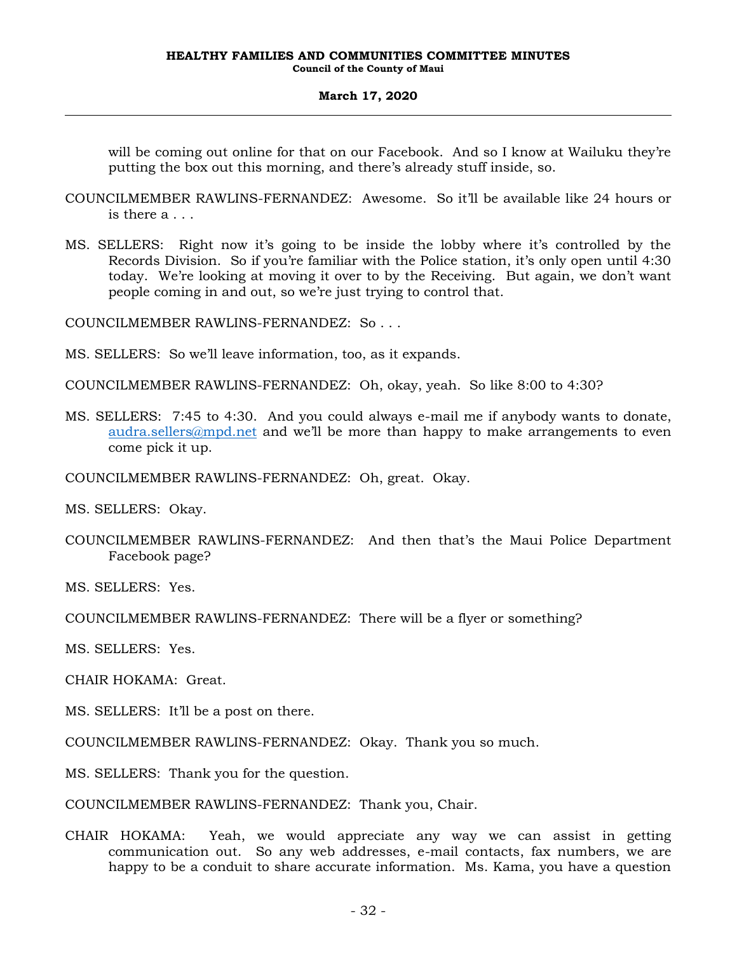will be coming out online for that on our Facebook. And so I know at Wailuku they're putting the box out this morning, and there's already stuff inside, so.

- COUNCILMEMBER RAWLINS-FERNANDEZ: Awesome. So it'll be available like 24 hours or is there a . . .
- MS. SELLERS: Right now it's going to be inside the lobby where it's controlled by the Records Division. So if you're familiar with the Police station, it's only open until 4:30 today. We're looking at moving it over to by the Receiving. But again, we don't want people coming in and out, so we're just trying to control that.

COUNCILMEMBER RAWLINS-FERNANDEZ: So . . .

- MS. SELLERS: So we'll leave information, too, as it expands.
- COUNCILMEMBER RAWLINS-FERNANDEZ: Oh, okay, yeah. So like 8:00 to 4:30?
- MS. SELLERS: 7:45 to 4:30. And you could always e-mail me if anybody wants to donate, [audra.sellers@mpd.net](mailto:audra.sellers@mpd.net) and we'll be more than happy to make arrangements to even come pick it up.
- COUNCILMEMBER RAWLINS-FERNANDEZ: Oh, great. Okay.

MS. SELLERS: Okay.

COUNCILMEMBER RAWLINS-FERNANDEZ: And then that's the Maui Police Department Facebook page?

MS. SELLERS: Yes.

COUNCILMEMBER RAWLINS-FERNANDEZ: There will be a flyer or something?

MS. SELLERS: Yes.

CHAIR HOKAMA: Great.

MS. SELLERS: It'll be a post on there.

COUNCILMEMBER RAWLINS-FERNANDEZ: Okay. Thank you so much.

MS. SELLERS: Thank you for the question.

COUNCILMEMBER RAWLINS-FERNANDEZ: Thank you, Chair.

CHAIR HOKAMA: Yeah, we would appreciate any way we can assist in getting communication out. So any web addresses, e-mail contacts, fax numbers, we are happy to be a conduit to share accurate information. Ms. Kama, you have a question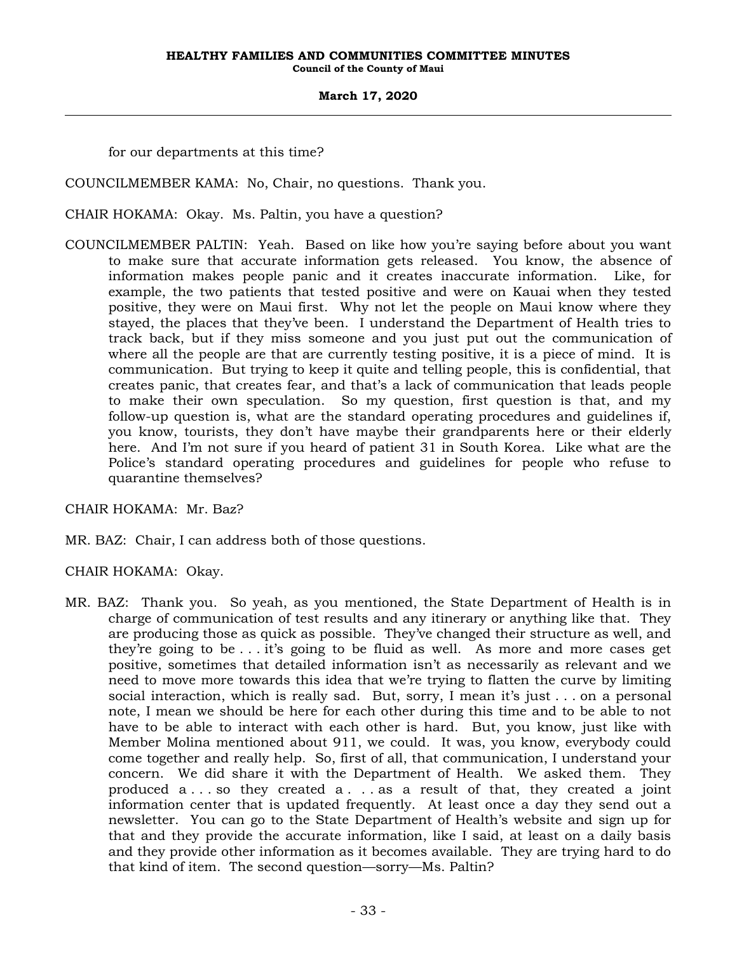for our departments at this time?

COUNCILMEMBER KAMA: No, Chair, no questions. Thank you.

CHAIR HOKAMA: Okay. Ms. Paltin, you have a question?

COUNCILMEMBER PALTIN: Yeah. Based on like how you're saying before about you want to make sure that accurate information gets released. You know, the absence of information makes people panic and it creates inaccurate information. Like, for example, the two patients that tested positive and were on Kauai when they tested positive, they were on Maui first. Why not let the people on Maui know where they stayed, the places that they've been. I understand the Department of Health tries to track back, but if they miss someone and you just put out the communication of where all the people are that are currently testing positive, it is a piece of mind. It is communication. But trying to keep it quite and telling people, this is confidential, that creates panic, that creates fear, and that's a lack of communication that leads people to make their own speculation. So my question, first question is that, and my follow-up question is, what are the standard operating procedures and guidelines if, you know, tourists, they don't have maybe their grandparents here or their elderly here. And I'm not sure if you heard of patient 31 in South Korea. Like what are the Police's standard operating procedures and guidelines for people who refuse to quarantine themselves?

CHAIR HOKAMA: Mr. Baz?

MR. BAZ: Chair, I can address both of those questions.

CHAIR HOKAMA: Okay.

MR. BAZ: Thank you. So yeah, as you mentioned, the State Department of Health is in charge of communication of test results and any itinerary or anything like that. They are producing those as quick as possible. They've changed their structure as well, and they're going to be . . . it's going to be fluid as well. As more and more cases get positive, sometimes that detailed information isn't as necessarily as relevant and we need to move more towards this idea that we're trying to flatten the curve by limiting social interaction, which is really sad. But, sorry, I mean it's just . . . on a personal note, I mean we should be here for each other during this time and to be able to not have to be able to interact with each other is hard. But, you know, just like with Member Molina mentioned about 911, we could. It was, you know, everybody could come together and really help. So, first of all, that communication, I understand your concern. We did share it with the Department of Health. We asked them. They produced a . . . so they created a . . . as a result of that, they created a joint information center that is updated frequently. At least once a day they send out a newsletter. You can go to the State Department of Health's website and sign up for that and they provide the accurate information, like I said, at least on a daily basis and they provide other information as it becomes available. They are trying hard to do that kind of item. The second question—sorry—Ms. Paltin?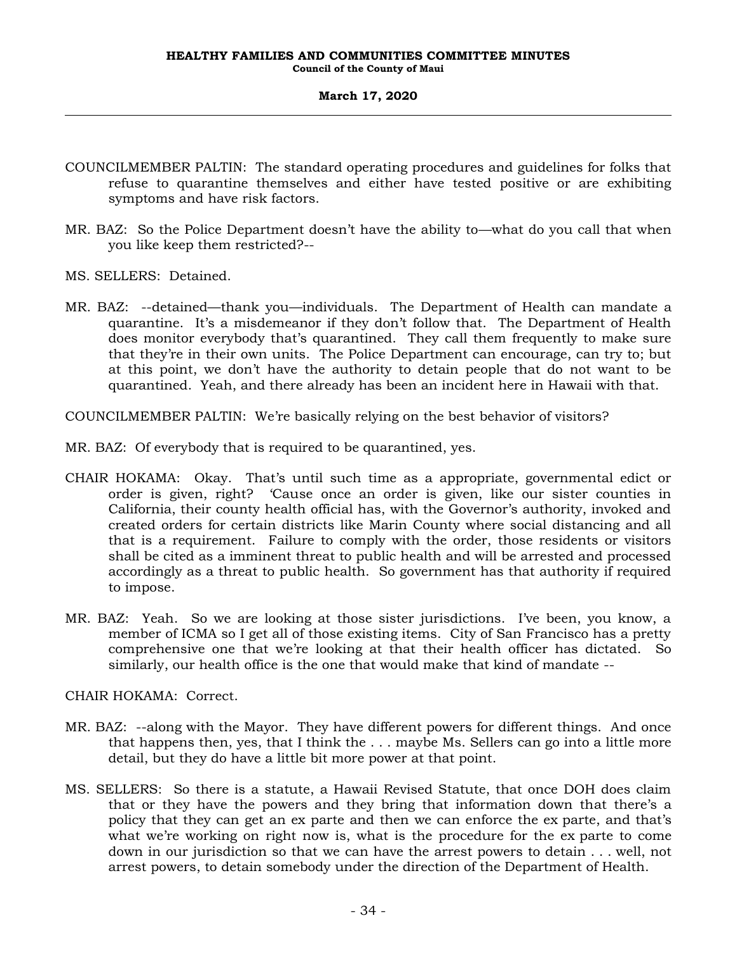- COUNCILMEMBER PALTIN: The standard operating procedures and guidelines for folks that refuse to quarantine themselves and either have tested positive or are exhibiting symptoms and have risk factors.
- MR. BAZ: So the Police Department doesn't have the ability to—what do you call that when you like keep them restricted?--
- MS. SELLERS: Detained.
- MR. BAZ: --detained—thank you—individuals. The Department of Health can mandate a quarantine. It's a misdemeanor if they don't follow that. The Department of Health does monitor everybody that's quarantined. They call them frequently to make sure that they're in their own units. The Police Department can encourage, can try to; but at this point, we don't have the authority to detain people that do not want to be quarantined. Yeah, and there already has been an incident here in Hawaii with that.

COUNCILMEMBER PALTIN: We're basically relying on the best behavior of visitors?

MR. BAZ: Of everybody that is required to be quarantined, yes.

- CHAIR HOKAMA: Okay. That's until such time as a appropriate, governmental edict or order is given, right? 'Cause once an order is given, like our sister counties in California, their county health official has, with the Governor's authority, invoked and created orders for certain districts like Marin County where social distancing and all that is a requirement. Failure to comply with the order, those residents or visitors shall be cited as a imminent threat to public health and will be arrested and processed accordingly as a threat to public health. So government has that authority if required to impose.
- MR. BAZ: Yeah. So we are looking at those sister jurisdictions. I've been, you know, a member of ICMA so I get all of those existing items. City of San Francisco has a pretty comprehensive one that we're looking at that their health officer has dictated. So similarly, our health office is the one that would make that kind of mandate --

CHAIR HOKAMA: Correct.

- MR. BAZ: --along with the Mayor. They have different powers for different things. And once that happens then, yes, that I think the . . . maybe Ms. Sellers can go into a little more detail, but they do have a little bit more power at that point.
- MS. SELLERS: So there is a statute, a Hawaii Revised Statute, that once DOH does claim that or they have the powers and they bring that information down that there's a policy that they can get an ex parte and then we can enforce the ex parte, and that's what we're working on right now is, what is the procedure for the ex parte to come down in our jurisdiction so that we can have the arrest powers to detain . . . well, not arrest powers, to detain somebody under the direction of the Department of Health.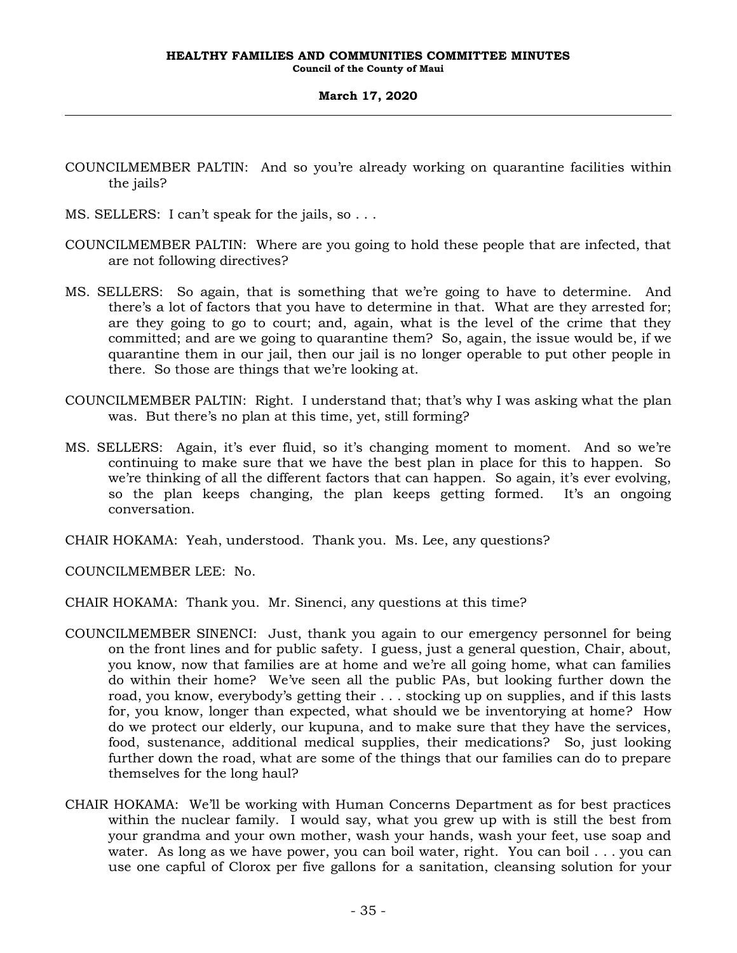- COUNCILMEMBER PALTIN: And so you're already working on quarantine facilities within the jails?
- MS. SELLERS: I can't speak for the jails, so . . .
- COUNCILMEMBER PALTIN: Where are you going to hold these people that are infected, that are not following directives?
- MS. SELLERS: So again, that is something that we're going to have to determine. And there's a lot of factors that you have to determine in that. What are they arrested for; are they going to go to court; and, again, what is the level of the crime that they committed; and are we going to quarantine them? So, again, the issue would be, if we quarantine them in our jail, then our jail is no longer operable to put other people in there. So those are things that we're looking at.
- COUNCILMEMBER PALTIN: Right. I understand that; that's why I was asking what the plan was. But there's no plan at this time, yet, still forming?
- MS. SELLERS: Again, it's ever fluid, so it's changing moment to moment. And so we're continuing to make sure that we have the best plan in place for this to happen. So we're thinking of all the different factors that can happen. So again, it's ever evolving, so the plan keeps changing, the plan keeps getting formed. It's an ongoing conversation.

CHAIR HOKAMA: Yeah, understood. Thank you. Ms. Lee, any questions?

COUNCILMEMBER LEE: No.

CHAIR HOKAMA: Thank you. Mr. Sinenci, any questions at this time?

- COUNCILMEMBER SINENCI: Just, thank you again to our emergency personnel for being on the front lines and for public safety. I guess, just a general question, Chair, about, you know, now that families are at home and we're all going home, what can families do within their home? We've seen all the public PAs, but looking further down the road, you know, everybody's getting their . . . stocking up on supplies, and if this lasts for, you know, longer than expected, what should we be inventorying at home? How do we protect our elderly, our kupuna, and to make sure that they have the services, food, sustenance, additional medical supplies, their medications? So, just looking further down the road, what are some of the things that our families can do to prepare themselves for the long haul?
- CHAIR HOKAMA: We'll be working with Human Concerns Department as for best practices within the nuclear family. I would say, what you grew up with is still the best from your grandma and your own mother, wash your hands, wash your feet, use soap and water. As long as we have power, you can boil water, right. You can boil . . . you can use one capful of Clorox per five gallons for a sanitation, cleansing solution for your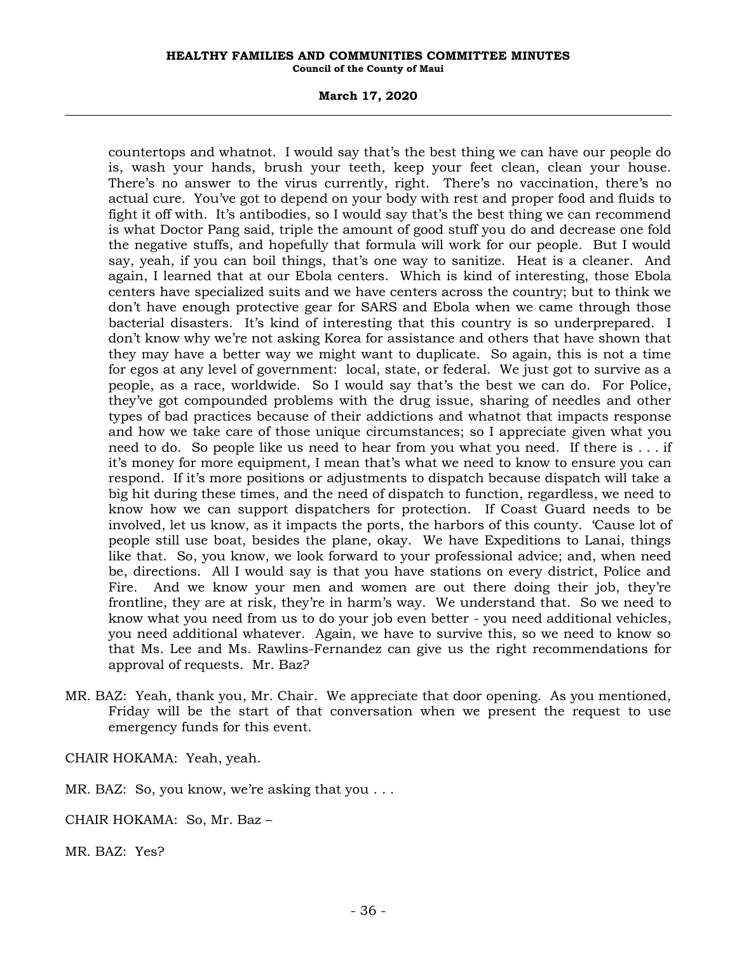### **March 17, 2020**

countertops and whatnot. I would say that's the best thing we can have our people do is, wash your hands, brush your teeth, keep your feet clean, clean your house. There's no answer to the virus currently, right. There's no vaccination, there's no actual cure. You've got to depend on your body with rest and proper food and fluids to fight it off with. It's antibodies, so I would say that's the best thing we can recommend is what Doctor Pang said, triple the amount of good stuff you do and decrease one fold the negative stuffs, and hopefully that formula will work for our people. But I would say, yeah, if you can boil things, that's one way to sanitize. Heat is a cleaner. And again, I learned that at our Ebola centers. Which is kind of interesting, those Ebola centers have specialized suits and we have centers across the country; but to think we don't have enough protective gear for SARS and Ebola when we came through those bacterial disasters. It's kind of interesting that this country is so underprepared. I don't know why we're not asking Korea for assistance and others that have shown that they may have a better way we might want to duplicate. So again, this is not a time for egos at any level of government: local, state, or federal. We just got to survive as a people, as a race, worldwide. So I would say that's the best we can do. For Police, they've got compounded problems with the drug issue, sharing of needles and other types of bad practices because of their addictions and whatnot that impacts response and how we take care of those unique circumstances; so I appreciate given what you need to do. So people like us need to hear from you what you need. If there is . . . if it's money for more equipment, I mean that's what we need to know to ensure you can respond. If it's more positions or adjustments to dispatch because dispatch will take a big hit during these times, and the need of dispatch to function, regardless, we need to know how we can support dispatchers for protection. If Coast Guard needs to be involved, let us know, as it impacts the ports, the harbors of this county. 'Cause lot of people still use boat, besides the plane, okay. We have Expeditions to Lanai, things like that. So, you know, we look forward to your professional advice; and, when need be, directions. All I would say is that you have stations on every district, Police and Fire. And we know your men and women are out there doing their job, they're frontline, they are at risk, they're in harm's way. We understand that. So we need to know what you need from us to do your job even better - you need additional vehicles, you need additional whatever. Again, we have to survive this, so we need to know so that Ms. Lee and Ms. Rawlins-Fernandez can give us the right recommendations for approval of requests. Mr. Baz?

MR. BAZ: Yeah, thank you, Mr. Chair. We appreciate that door opening. As you mentioned, Friday will be the start of that conversation when we present the request to use emergency funds for this event.

CHAIR HOKAMA: Yeah, yeah.

MR. BAZ: So, you know, we're asking that you . . .

CHAIR HOKAMA: So, Mr. Baz –

MR. BAZ: Yes?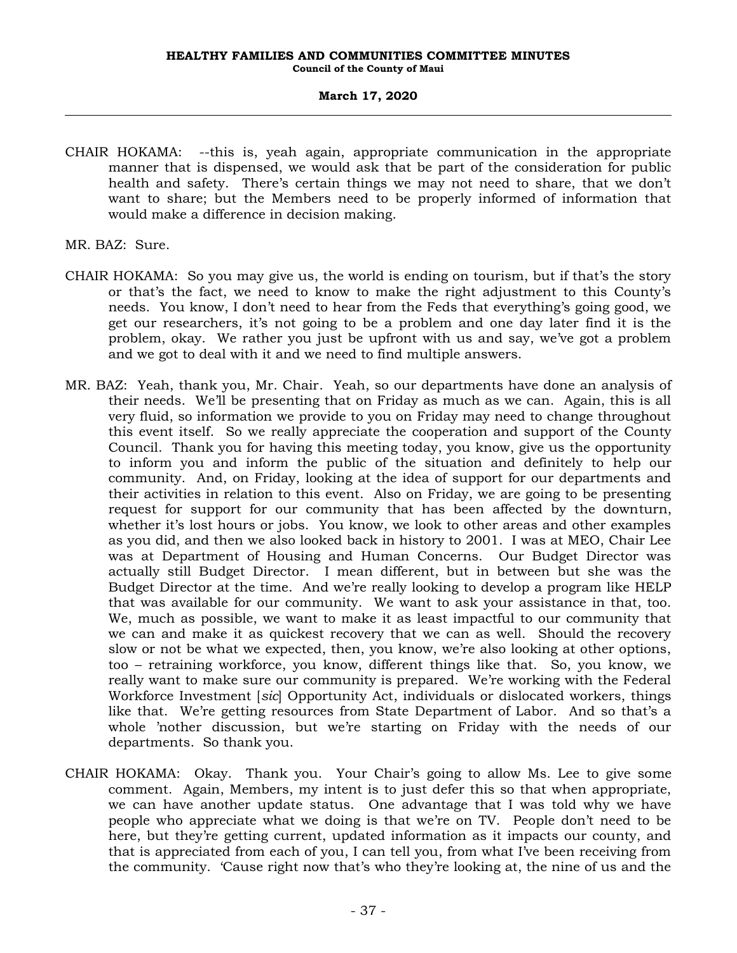- CHAIR HOKAMA: --this is, yeah again, appropriate communication in the appropriate manner that is dispensed, we would ask that be part of the consideration for public health and safety. There's certain things we may not need to share, that we don't want to share; but the Members need to be properly informed of information that would make a difference in decision making.
- MR. BAZ: Sure.
- CHAIR HOKAMA: So you may give us, the world is ending on tourism, but if that's the story or that's the fact, we need to know to make the right adjustment to this County's needs. You know, I don't need to hear from the Feds that everything's going good, we get our researchers, it's not going to be a problem and one day later find it is the problem, okay. We rather you just be upfront with us and say, we've got a problem and we got to deal with it and we need to find multiple answers.
- MR. BAZ: Yeah, thank you, Mr. Chair. Yeah, so our departments have done an analysis of their needs. We'll be presenting that on Friday as much as we can. Again, this is all very fluid, so information we provide to you on Friday may need to change throughout this event itself. So we really appreciate the cooperation and support of the County Council. Thank you for having this meeting today, you know, give us the opportunity to inform you and inform the public of the situation and definitely to help our community. And, on Friday, looking at the idea of support for our departments and their activities in relation to this event. Also on Friday, we are going to be presenting request for support for our community that has been affected by the downturn, whether it's lost hours or jobs. You know, we look to other areas and other examples as you did, and then we also looked back in history to 2001. I was at MEO, Chair Lee was at Department of Housing and Human Concerns. Our Budget Director was actually still Budget Director. I mean different, but in between but she was the Budget Director at the time. And we're really looking to develop a program like HELP that was available for our community. We want to ask your assistance in that, too. We, much as possible, we want to make it as least impactful to our community that we can and make it as quickest recovery that we can as well. Should the recovery slow or not be what we expected, then, you know, we're also looking at other options, too – retraining workforce, you know, different things like that. So, you know, we really want to make sure our community is prepared. We're working with the Federal Workforce Investment [*sic*] Opportunity Act, individuals or dislocated workers, things like that. We're getting resources from State Department of Labor. And so that's a whole 'nother discussion, but we're starting on Friday with the needs of our departments. So thank you.
- CHAIR HOKAMA: Okay. Thank you. Your Chair's going to allow Ms. Lee to give some comment. Again, Members, my intent is to just defer this so that when appropriate, we can have another update status. One advantage that I was told why we have people who appreciate what we doing is that we're on TV. People don't need to be here, but they're getting current, updated information as it impacts our county, and that is appreciated from each of you, I can tell you, from what I've been receiving from the community. 'Cause right now that's who they're looking at, the nine of us and the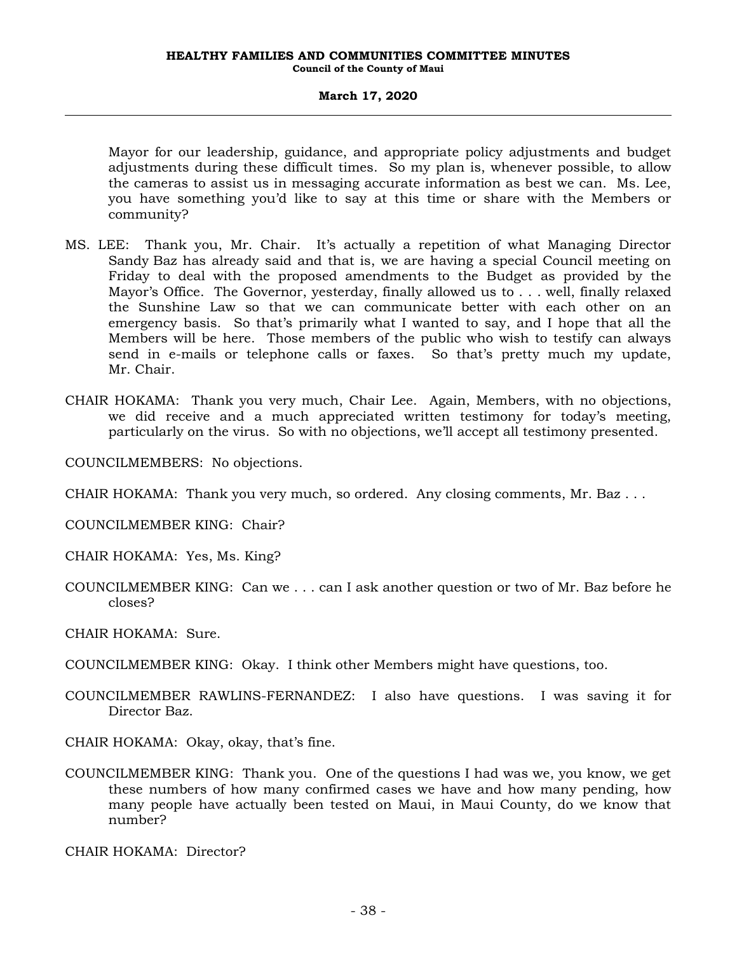Mayor for our leadership, guidance, and appropriate policy adjustments and budget adjustments during these difficult times. So my plan is, whenever possible, to allow the cameras to assist us in messaging accurate information as best we can. Ms. Lee, you have something you'd like to say at this time or share with the Members or community?

- MS. LEE: Thank you, Mr. Chair. It's actually a repetition of what Managing Director Sandy Baz has already said and that is, we are having a special Council meeting on Friday to deal with the proposed amendments to the Budget as provided by the Mayor's Office. The Governor, yesterday, finally allowed us to . . . well, finally relaxed the Sunshine Law so that we can communicate better with each other on an emergency basis. So that's primarily what I wanted to say, and I hope that all the Members will be here. Those members of the public who wish to testify can always send in e-mails or telephone calls or faxes. So that's pretty much my update, Mr. Chair.
- CHAIR HOKAMA: Thank you very much, Chair Lee. Again, Members, with no objections, we did receive and a much appreciated written testimony for today's meeting, particularly on the virus. So with no objections, we'll accept all testimony presented.

COUNCILMEMBERS: No objections.

CHAIR HOKAMA: Thank you very much, so ordered. Any closing comments, Mr. Baz . . .

COUNCILMEMBER KING: Chair?

CHAIR HOKAMA: Yes, Ms. King?

COUNCILMEMBER KING: Can we . . . can I ask another question or two of Mr. Baz before he closes?

CHAIR HOKAMA: Sure.

COUNCILMEMBER KING: Okay. I think other Members might have questions, too.

COUNCILMEMBER RAWLINS-FERNANDEZ: I also have questions. I was saving it for Director Baz.

CHAIR HOKAMA: Okay, okay, that's fine.

COUNCILMEMBER KING: Thank you. One of the questions I had was we, you know, we get these numbers of how many confirmed cases we have and how many pending, how many people have actually been tested on Maui, in Maui County, do we know that number?

CHAIR HOKAMA: Director?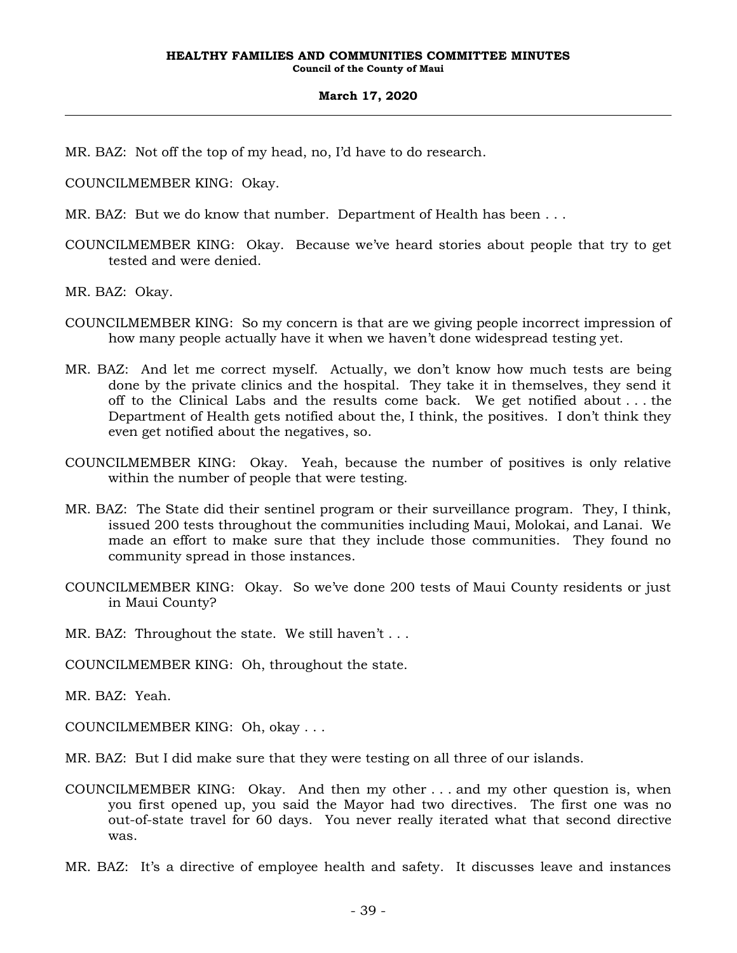MR. BAZ: Not off the top of my head, no, I'd have to do research.

COUNCILMEMBER KING: Okay.

- MR. BAZ: But we do know that number. Department of Health has been . . .
- COUNCILMEMBER KING: Okay. Because we've heard stories about people that try to get tested and were denied.

MR. BAZ: Okay.

- COUNCILMEMBER KING: So my concern is that are we giving people incorrect impression of how many people actually have it when we haven't done widespread testing yet.
- MR. BAZ: And let me correct myself. Actually, we don't know how much tests are being done by the private clinics and the hospital. They take it in themselves, they send it off to the Clinical Labs and the results come back. We get notified about . . . the Department of Health gets notified about the, I think, the positives. I don't think they even get notified about the negatives, so.
- COUNCILMEMBER KING: Okay. Yeah, because the number of positives is only relative within the number of people that were testing.
- MR. BAZ: The State did their sentinel program or their surveillance program. They, I think, issued 200 tests throughout the communities including Maui, Molokai, and Lanai. We made an effort to make sure that they include those communities. They found no community spread in those instances.
- COUNCILMEMBER KING: Okay. So we've done 200 tests of Maui County residents or just in Maui County?
- MR. BAZ: Throughout the state. We still haven't . . .

COUNCILMEMBER KING: Oh, throughout the state.

MR. BAZ: Yeah.

- COUNCILMEMBER KING: Oh, okay . . .
- MR. BAZ: But I did make sure that they were testing on all three of our islands.
- COUNCILMEMBER KING: Okay. And then my other . . . and my other question is, when you first opened up, you said the Mayor had two directives. The first one was no out-of-state travel for 60 days. You never really iterated what that second directive was.
- MR. BAZ: It's a directive of employee health and safety. It discusses leave and instances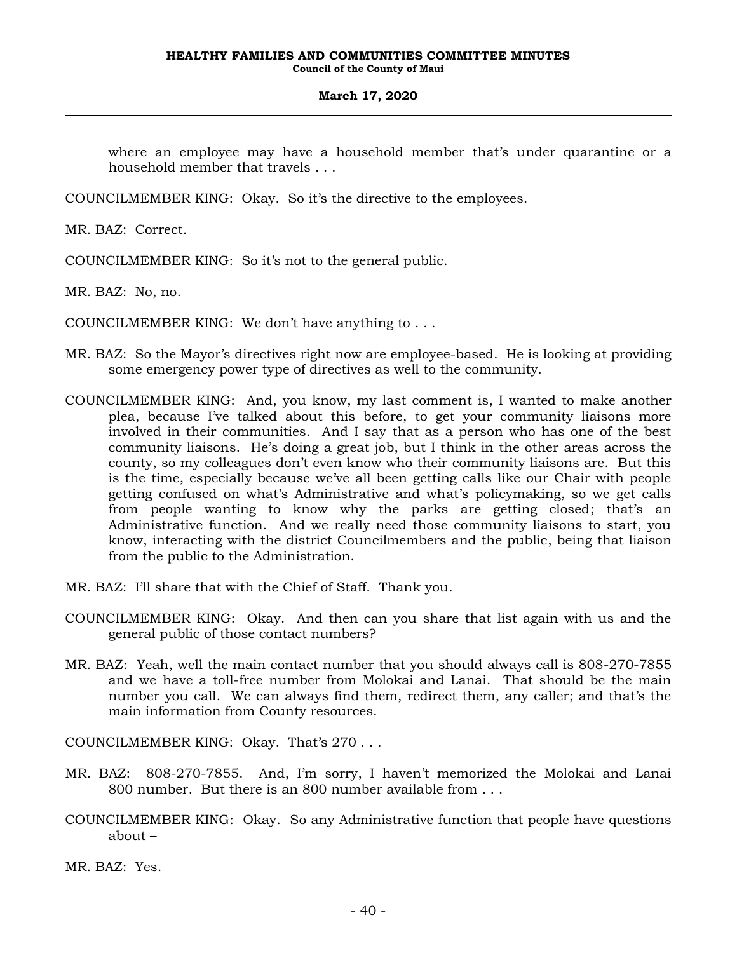where an employee may have a household member that's under quarantine or a household member that travels . . .

COUNCILMEMBER KING: Okay. So it's the directive to the employees.

MR. BAZ: Correct.

COUNCILMEMBER KING: So it's not to the general public.

MR. BAZ: No, no.

COUNCILMEMBER KING: We don't have anything to . . .

- MR. BAZ: So the Mayor's directives right now are employee-based. He is looking at providing some emergency power type of directives as well to the community.
- COUNCILMEMBER KING: And, you know, my last comment is, I wanted to make another plea, because I've talked about this before, to get your community liaisons more involved in their communities. And I say that as a person who has one of the best community liaisons. He's doing a great job, but I think in the other areas across the county, so my colleagues don't even know who their community liaisons are. But this is the time, especially because we've all been getting calls like our Chair with people getting confused on what's Administrative and what's policymaking, so we get calls from people wanting to know why the parks are getting closed; that's an Administrative function. And we really need those community liaisons to start, you know, interacting with the district Councilmembers and the public, being that liaison from the public to the Administration.
- MR. BAZ: I'll share that with the Chief of Staff. Thank you.
- COUNCILMEMBER KING: Okay. And then can you share that list again with us and the general public of those contact numbers?
- MR. BAZ: Yeah, well the main contact number that you should always call is 808-270-7855 and we have a toll-free number from Molokai and Lanai. That should be the main number you call. We can always find them, redirect them, any caller; and that's the main information from County resources.

COUNCILMEMBER KING: Okay. That's 270 . . .

- MR. BAZ: 808-270-7855. And, I'm sorry, I haven't memorized the Molokai and Lanai 800 number. But there is an 800 number available from . . .
- COUNCILMEMBER KING: Okay. So any Administrative function that people have questions about –

MR. BAZ: Yes.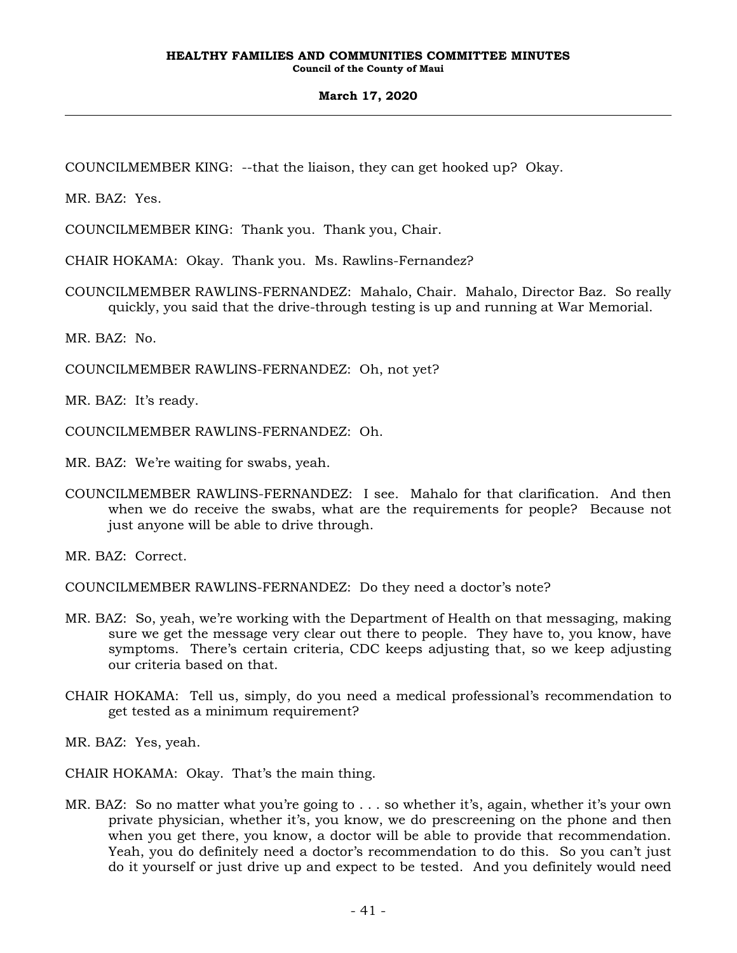COUNCILMEMBER KING: --that the liaison, they can get hooked up? Okay.

MR. BAZ: Yes.

COUNCILMEMBER KING: Thank you. Thank you, Chair.

CHAIR HOKAMA: Okay. Thank you. Ms. Rawlins-Fernandez?

COUNCILMEMBER RAWLINS-FERNANDEZ: Mahalo, Chair. Mahalo, Director Baz. So really quickly, you said that the drive-through testing is up and running at War Memorial.

MR. BAZ: No.

COUNCILMEMBER RAWLINS-FERNANDEZ: Oh, not yet?

MR. BAZ: It's ready.

COUNCILMEMBER RAWLINS-FERNANDEZ: Oh.

MR. BAZ: We're waiting for swabs, yeah.

COUNCILMEMBER RAWLINS-FERNANDEZ: I see. Mahalo for that clarification. And then when we do receive the swabs, what are the requirements for people? Because not just anyone will be able to drive through.

MR. BAZ: Correct.

COUNCILMEMBER RAWLINS-FERNANDEZ: Do they need a doctor's note?

- MR. BAZ: So, yeah, we're working with the Department of Health on that messaging, making sure we get the message very clear out there to people. They have to, you know, have symptoms. There's certain criteria, CDC keeps adjusting that, so we keep adjusting our criteria based on that.
- CHAIR HOKAMA: Tell us, simply, do you need a medical professional's recommendation to get tested as a minimum requirement?

MR. BAZ: Yes, yeah.

CHAIR HOKAMA: Okay. That's the main thing.

MR. BAZ: So no matter what you're going to . . . so whether it's, again, whether it's your own private physician, whether it's, you know, we do prescreening on the phone and then when you get there, you know, a doctor will be able to provide that recommendation. Yeah, you do definitely need a doctor's recommendation to do this. So you can't just do it yourself or just drive up and expect to be tested. And you definitely would need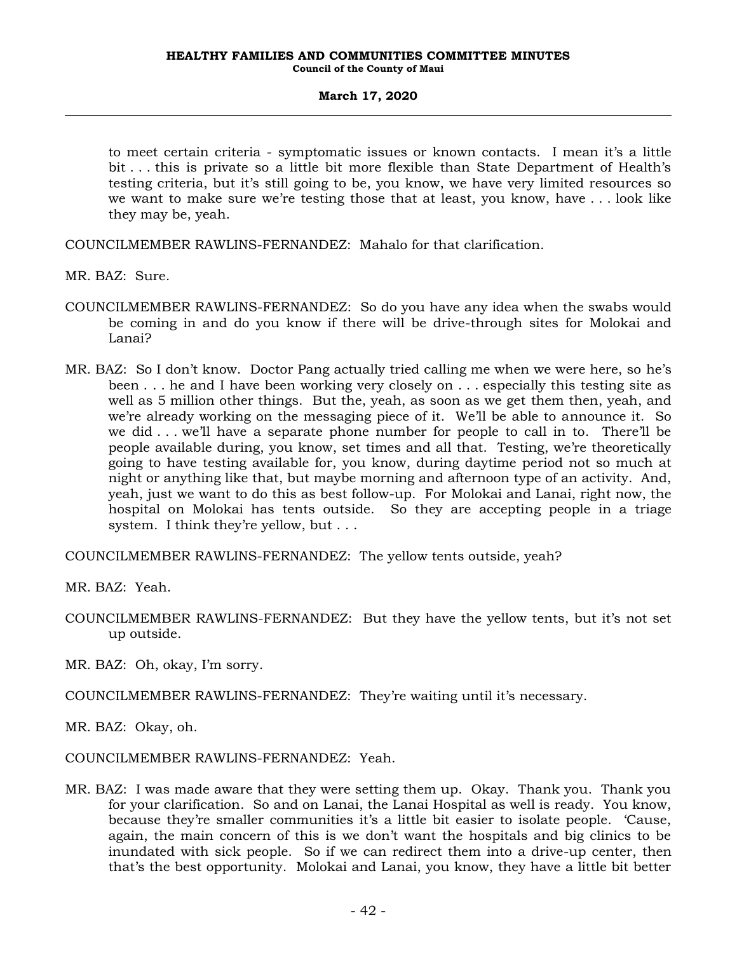to meet certain criteria - symptomatic issues or known contacts. I mean it's a little bit . . . this is private so a little bit more flexible than State Department of Health's testing criteria, but it's still going to be, you know, we have very limited resources so we want to make sure we're testing those that at least, you know, have . . . look like they may be, yeah.

COUNCILMEMBER RAWLINS-FERNANDEZ: Mahalo for that clarification.

MR. BAZ: Sure.

- COUNCILMEMBER RAWLINS-FERNANDEZ: So do you have any idea when the swabs would be coming in and do you know if there will be drive-through sites for Molokai and Lanai?
- MR. BAZ: So I don't know. Doctor Pang actually tried calling me when we were here, so he's been . . . he and I have been working very closely on . . . especially this testing site as well as 5 million other things. But the, yeah, as soon as we get them then, yeah, and we're already working on the messaging piece of it. We'll be able to announce it. So we did . . . we'll have a separate phone number for people to call in to. There'll be people available during, you know, set times and all that. Testing, we're theoretically going to have testing available for, you know, during daytime period not so much at night or anything like that, but maybe morning and afternoon type of an activity. And, yeah, just we want to do this as best follow-up. For Molokai and Lanai, right now, the hospital on Molokai has tents outside. So they are accepting people in a triage system. I think they're yellow, but ...

COUNCILMEMBER RAWLINS-FERNANDEZ: The yellow tents outside, yeah?

MR. BAZ: Yeah.

COUNCILMEMBER RAWLINS-FERNANDEZ: But they have the yellow tents, but it's not set up outside.

MR. BAZ: Oh, okay, I'm sorry.

COUNCILMEMBER RAWLINS-FERNANDEZ: They're waiting until it's necessary.

MR. BAZ: Okay, oh.

COUNCILMEMBER RAWLINS-FERNANDEZ: Yeah.

MR. BAZ: I was made aware that they were setting them up. Okay. Thank you. Thank you for your clarification. So and on Lanai, the Lanai Hospital as well is ready. You know, because they're smaller communities it's a little bit easier to isolate people. 'Cause, again, the main concern of this is we don't want the hospitals and big clinics to be inundated with sick people. So if we can redirect them into a drive-up center, then that's the best opportunity. Molokai and Lanai, you know, they have a little bit better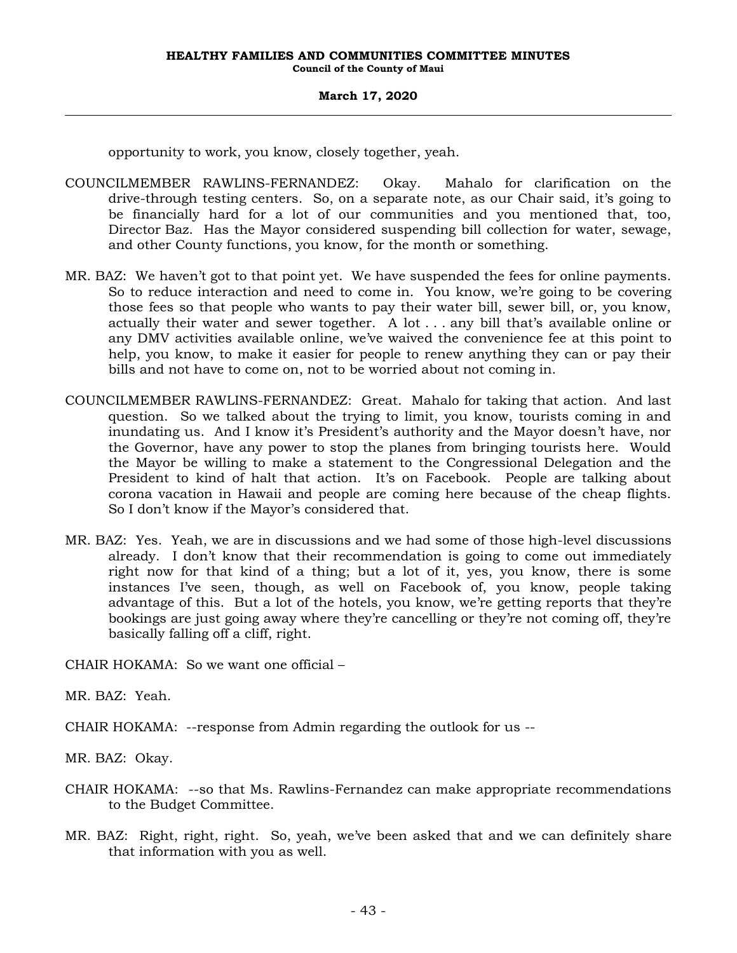opportunity to work, you know, closely together, yeah.

- COUNCILMEMBER RAWLINS-FERNANDEZ: Okay. Mahalo for clarification on the drive-through testing centers. So, on a separate note, as our Chair said, it's going to be financially hard for a lot of our communities and you mentioned that, too, Director Baz. Has the Mayor considered suspending bill collection for water, sewage, and other County functions, you know, for the month or something.
- MR. BAZ: We haven't got to that point yet. We have suspended the fees for online payments. So to reduce interaction and need to come in. You know, we're going to be covering those fees so that people who wants to pay their water bill, sewer bill, or, you know, actually their water and sewer together. A lot . . . any bill that's available online or any DMV activities available online, we've waived the convenience fee at this point to help, you know, to make it easier for people to renew anything they can or pay their bills and not have to come on, not to be worried about not coming in.
- COUNCILMEMBER RAWLINS-FERNANDEZ: Great. Mahalo for taking that action. And last question. So we talked about the trying to limit, you know, tourists coming in and inundating us. And I know it's President's authority and the Mayor doesn't have, nor the Governor, have any power to stop the planes from bringing tourists here. Would the Mayor be willing to make a statement to the Congressional Delegation and the President to kind of halt that action. It's on Facebook. People are talking about corona vacation in Hawaii and people are coming here because of the cheap flights. So I don't know if the Mayor's considered that.
- MR. BAZ: Yes. Yeah, we are in discussions and we had some of those high-level discussions already. I don't know that their recommendation is going to come out immediately right now for that kind of a thing; but a lot of it, yes, you know, there is some instances I've seen, though, as well on Facebook of, you know, people taking advantage of this. But a lot of the hotels, you know, we're getting reports that they're bookings are just going away where they're cancelling or they're not coming off, they're basically falling off a cliff, right.

CHAIR HOKAMA: So we want one official –

MR. BAZ: Yeah.

CHAIR HOKAMA: --response from Admin regarding the outlook for us --

MR. BAZ: Okay.

- CHAIR HOKAMA: --so that Ms. Rawlins-Fernandez can make appropriate recommendations to the Budget Committee.
- MR. BAZ: Right, right, right. So, yeah, we've been asked that and we can definitely share that information with you as well.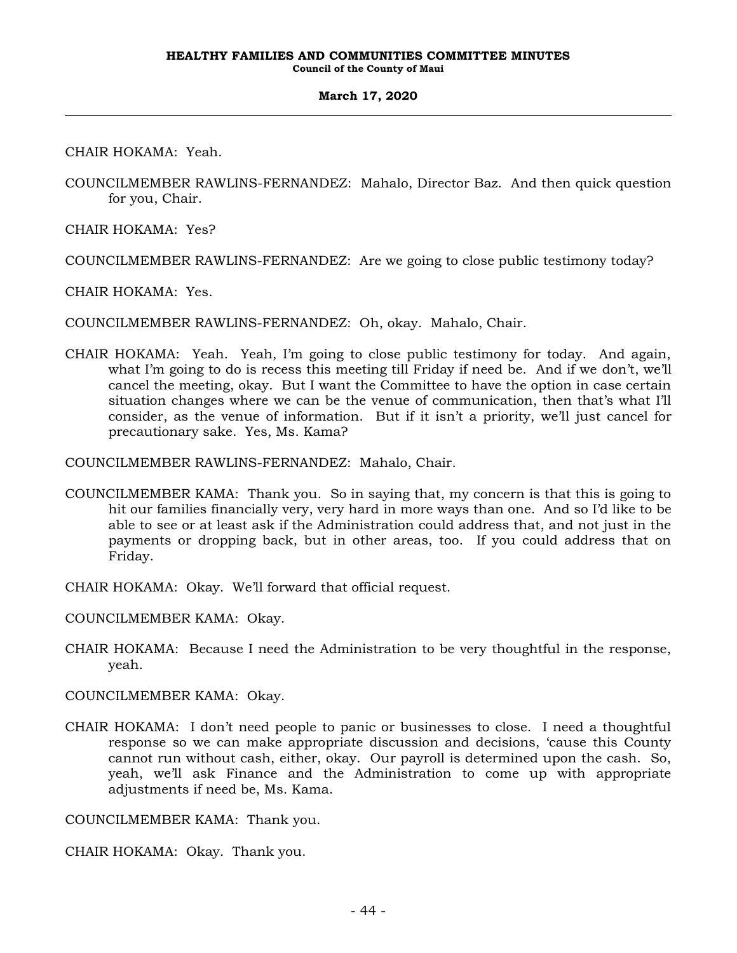CHAIR HOKAMA: Yeah.

COUNCILMEMBER RAWLINS-FERNANDEZ: Mahalo, Director Baz. And then quick question for you, Chair.

CHAIR HOKAMA: Yes?

COUNCILMEMBER RAWLINS-FERNANDEZ: Are we going to close public testimony today?

CHAIR HOKAMA: Yes.

COUNCILMEMBER RAWLINS-FERNANDEZ: Oh, okay. Mahalo, Chair.

CHAIR HOKAMA: Yeah. Yeah, I'm going to close public testimony for today. And again, what I'm going to do is recess this meeting till Friday if need be. And if we don't, we'll cancel the meeting, okay. But I want the Committee to have the option in case certain situation changes where we can be the venue of communication, then that's what I'll consider, as the venue of information. But if it isn't a priority, we'll just cancel for precautionary sake. Yes, Ms. Kama?

COUNCILMEMBER RAWLINS-FERNANDEZ: Mahalo, Chair.

- COUNCILMEMBER KAMA: Thank you. So in saying that, my concern is that this is going to hit our families financially very, very hard in more ways than one. And so I'd like to be able to see or at least ask if the Administration could address that, and not just in the payments or dropping back, but in other areas, too. If you could address that on Friday.
- CHAIR HOKAMA: Okay. We'll forward that official request.

COUNCILMEMBER KAMA: Okay.

CHAIR HOKAMA: Because I need the Administration to be very thoughtful in the response, yeah.

COUNCILMEMBER KAMA: Okay.

CHAIR HOKAMA: I don't need people to panic or businesses to close. I need a thoughtful response so we can make appropriate discussion and decisions, 'cause this County cannot run without cash, either, okay. Our payroll is determined upon the cash. So, yeah, we'll ask Finance and the Administration to come up with appropriate adjustments if need be, Ms. Kama.

COUNCILMEMBER KAMA: Thank you.

CHAIR HOKAMA: Okay. Thank you.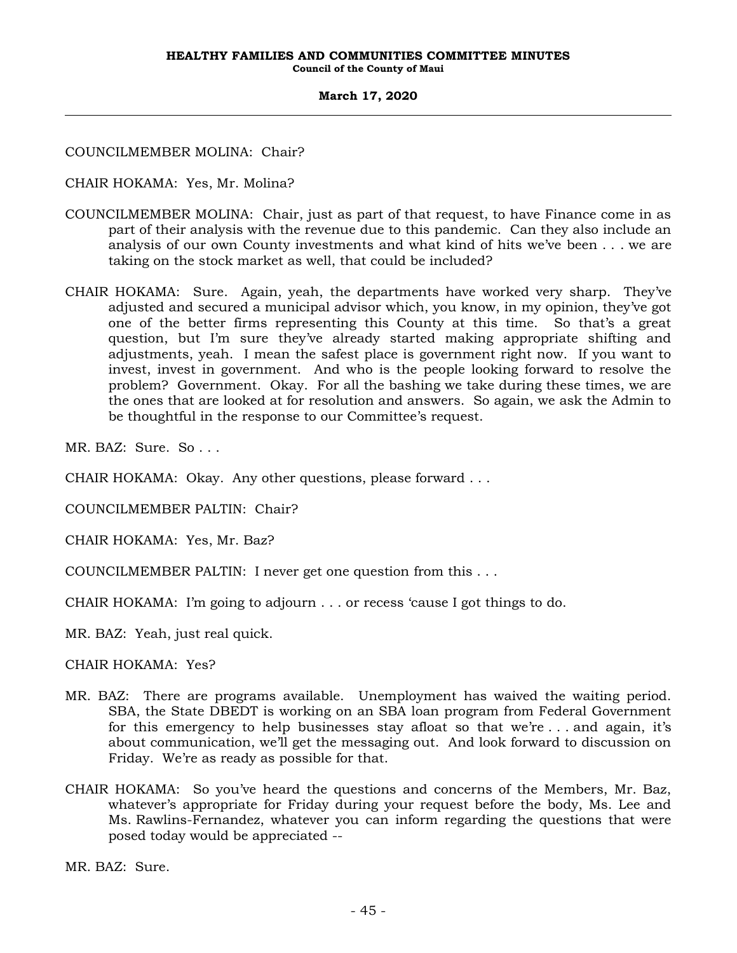COUNCILMEMBER MOLINA: Chair?

CHAIR HOKAMA: Yes, Mr. Molina?

- COUNCILMEMBER MOLINA: Chair, just as part of that request, to have Finance come in as part of their analysis with the revenue due to this pandemic. Can they also include an analysis of our own County investments and what kind of hits we've been . . . we are taking on the stock market as well, that could be included?
- CHAIR HOKAMA: Sure. Again, yeah, the departments have worked very sharp. They've adjusted and secured a municipal advisor which, you know, in my opinion, they've got one of the better firms representing this County at this time. So that's a great question, but I'm sure they've already started making appropriate shifting and adjustments, yeah. I mean the safest place is government right now. If you want to invest, invest in government. And who is the people looking forward to resolve the problem? Government. Okay. For all the bashing we take during these times, we are the ones that are looked at for resolution and answers. So again, we ask the Admin to be thoughtful in the response to our Committee's request.

MR. BAZ: Sure. So . . .

CHAIR HOKAMA: Okay. Any other questions, please forward . . .

COUNCILMEMBER PALTIN: Chair?

CHAIR HOKAMA: Yes, Mr. Baz?

- COUNCILMEMBER PALTIN: I never get one question from this . . .
- CHAIR HOKAMA: I'm going to adjourn . . . or recess 'cause I got things to do.

MR. BAZ: Yeah, just real quick.

CHAIR HOKAMA: Yes?

- MR. BAZ: There are programs available. Unemployment has waived the waiting period. SBA, the State DBEDT is working on an SBA loan program from Federal Government for this emergency to help businesses stay afloat so that we're . . . and again, it's about communication, we'll get the messaging out. And look forward to discussion on Friday. We're as ready as possible for that.
- CHAIR HOKAMA: So you've heard the questions and concerns of the Members, Mr. Baz, whatever's appropriate for Friday during your request before the body, Ms. Lee and Ms. Rawlins-Fernandez, whatever you can inform regarding the questions that were posed today would be appreciated --

MR. BAZ: Sure.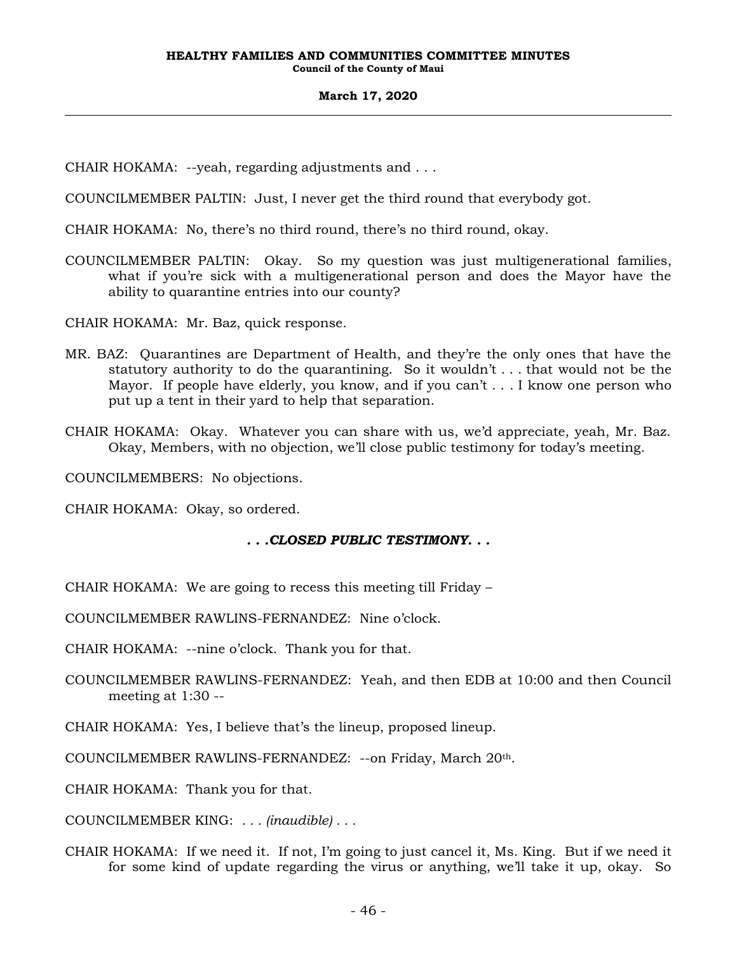- CHAIR HOKAMA: --yeah, regarding adjustments and . . .
- COUNCILMEMBER PALTIN: Just, I never get the third round that everybody got.
- CHAIR HOKAMA: No, there's no third round, there's no third round, okay.
- COUNCILMEMBER PALTIN: Okay. So my question was just multigenerational families, what if you're sick with a multigenerational person and does the Mayor have the ability to quarantine entries into our county?

CHAIR HOKAMA: Mr. Baz, quick response.

- MR. BAZ: Quarantines are Department of Health, and they're the only ones that have the statutory authority to do the quarantining. So it wouldn't . . . that would not be the Mayor. If people have elderly, you know, and if you can't . . . I know one person who put up a tent in their yard to help that separation.
- CHAIR HOKAMA: Okay. Whatever you can share with us, we'd appreciate, yeah, Mr. Baz. Okay, Members, with no objection, we'll close public testimony for today's meeting.

COUNCILMEMBERS: No objections.

CHAIR HOKAMA: Okay, so ordered.

# *. . .CLOSED PUBLIC TESTIMONY. . .*

CHAIR HOKAMA: We are going to recess this meeting till Friday –

COUNCILMEMBER RAWLINS-FERNANDEZ: Nine o'clock.

CHAIR HOKAMA: --nine o'clock. Thank you for that.

- COUNCILMEMBER RAWLINS-FERNANDEZ: Yeah, and then EDB at 10:00 and then Council meeting at 1:30 --
- CHAIR HOKAMA: Yes, I believe that's the lineup, proposed lineup.

COUNCILMEMBER RAWLINS-FERNANDEZ: --on Friday, March 20th.

CHAIR HOKAMA: Thank you for that.

COUNCILMEMBER KING: *. . . (inaudible) . . .*

CHAIR HOKAMA: If we need it. If not, I'm going to just cancel it, Ms. King. But if we need it for some kind of update regarding the virus or anything, we'll take it up, okay. So